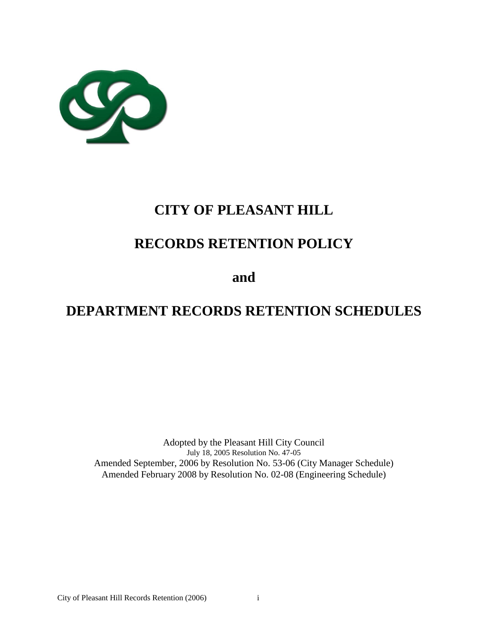

# **CITY OF PLEASANT HILL**

# **RECORDS RETENTION POLICY**

**and**

# **DEPARTMENT RECORDS RETENTION SCHEDULES**

Adopted by the Pleasant Hill City Council July 18, 2005 Resolution No. 47-05 Amended September, 2006 by Resolution No. 53-06 (City Manager Schedule) Amended February 2008 by Resolution No. 02-08 (Engineering Schedule)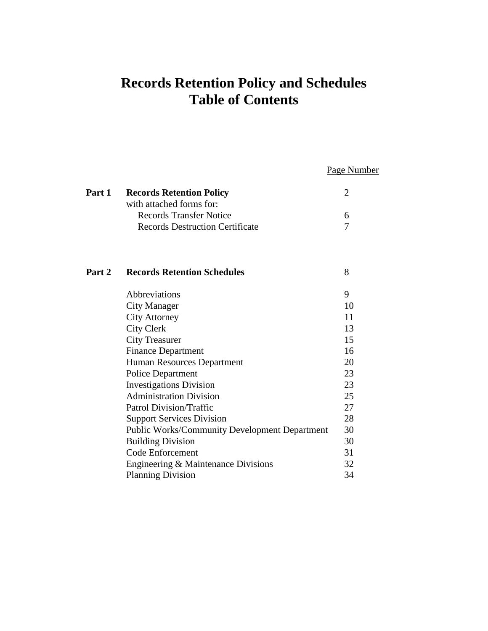## **Records Retention Policy and Schedules Table of Contents**

Page Number

| Part 1 | <b>Records Retention Policy</b>                      | $\overline{2}$ |
|--------|------------------------------------------------------|----------------|
|        | with attached forms for:                             |                |
|        | <b>Records Transfer Notice</b>                       | 6              |
|        | <b>Records Destruction Certificate</b>               | 7              |
| Part 2 | <b>Records Retention Schedules</b>                   | 8              |
|        | Abbreviations                                        | 9              |
|        | <b>City Manager</b>                                  | 10             |
|        | <b>City Attorney</b>                                 | 11             |
|        | <b>City Clerk</b>                                    | 13             |
|        | <b>City Treasurer</b>                                | 15             |
|        | <b>Finance Department</b>                            | 16             |
|        | Human Resources Department                           | 20             |
|        | <b>Police Department</b>                             | 23             |
|        | <b>Investigations Division</b>                       | 23             |
|        | <b>Administration Division</b>                       | 25             |
|        | <b>Patrol Division/Traffic</b>                       | 27             |
|        | <b>Support Services Division</b>                     | 28             |
|        | <b>Public Works/Community Development Department</b> | 30             |
|        | <b>Building Division</b>                             | 30             |
|        | Code Enforcement                                     | 31             |
|        | Engineering & Maintenance Divisions                  | 32             |
|        | <b>Planning Division</b>                             | 34             |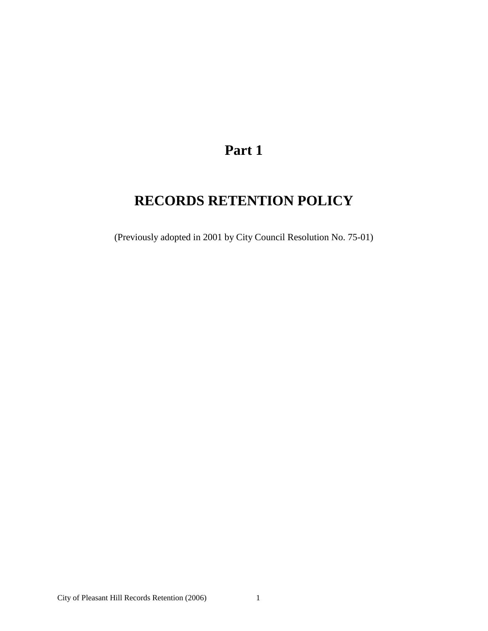## **Part 1**

# **RECORDS RETENTION POLICY**

(Previously adopted in 2001 by City Council Resolution No. 75-01)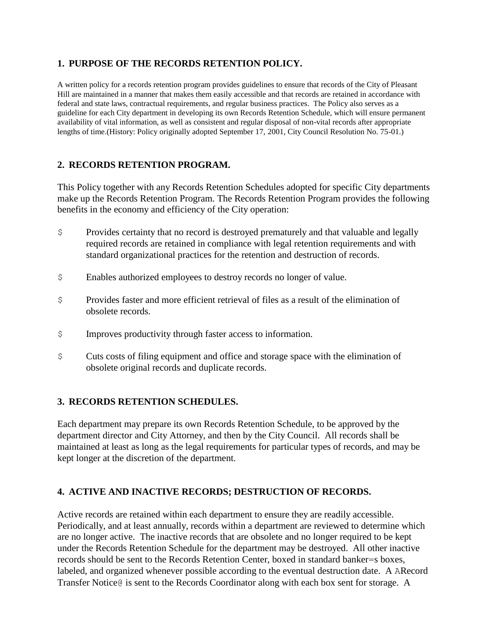### **1. PURPOSE OF THE RECORDS RETENTION POLICY.**

A written policy for a records retention program provides guidelines to ensure that records of the City of Pleasant Hill are maintained in a manner that makes them easily accessible and that records are retained in accordance with federal and state laws, contractual requirements, and regular business practices. The Policy also serves as a guideline for each City department in developing its own Records Retention Schedule, which will ensure permanent availability of vital information, as well as consistent and regular disposal of non-vital records after appropriate lengths of time.(History: Policy originally adopted September 17, 2001, City Council Resolution No. 75-01.)

## **2. RECORDS RETENTION PROGRAM.**

This Policy together with any Records Retention Schedules adopted for specific City departments make up the Records Retention Program. The Records Retention Program provides the following benefits in the economy and efficiency of the City operation:

- \$ Provides certainty that no record is destroyed prematurely and that valuable and legally required records are retained in compliance with legal retention requirements and with standard organizational practices for the retention and destruction of records.
- \$ Enables authorized employees to destroy records no longer of value.
- \$ Provides faster and more efficient retrieval of files as a result of the elimination of obsolete records.
- \$ Improves productivity through faster access to information.
- \$ Cuts costs of filing equipment and office and storage space with the elimination of obsolete original records and duplicate records.

### **3. RECORDS RETENTION SCHEDULES.**

Each department may prepare its own Records Retention Schedule, to be approved by the department director and City Attorney, and then by the City Council. All records shall be maintained at least as long as the legal requirements for particular types of records, and may be kept longer at the discretion of the department.

### **4. ACTIVE AND INACTIVE RECORDS; DESTRUCTION OF RECORDS.**

Active records are retained within each department to ensure they are readily accessible. Periodically, and at least annually, records within a department are reviewed to determine which are no longer active. The inactive records that are obsolete and no longer required to be kept under the Records Retention Schedule for the department may be destroyed. All other inactive records should be sent to the Records Retention Center, boxed in standard banker=s boxes, labeled, and organized whenever possible according to the eventual destruction date. A ARecord Transfer Notice@ is sent to the Records Coordinator along with each box sent for storage. A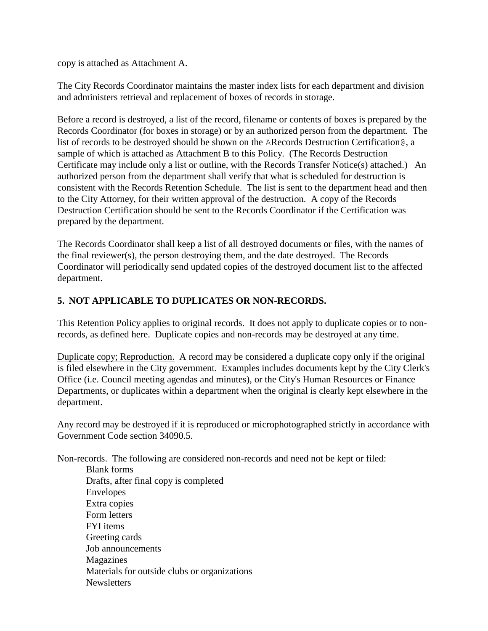copy is attached as Attachment A.

The City Records Coordinator maintains the master index lists for each department and division and administers retrieval and replacement of boxes of records in storage.

Before a record is destroyed, a list of the record, filename or contents of boxes is prepared by the Records Coordinator (for boxes in storage) or by an authorized person from the department. The list of records to be destroyed should be shown on the ARecords Destruction Certification@, a sample of which is attached as Attachment B to this Policy. (The Records Destruction Certificate may include only a list or outline, with the Records Transfer Notice(s) attached.) An authorized person from the department shall verify that what is scheduled for destruction is consistent with the Records Retention Schedule. The list is sent to the department head and then to the City Attorney, for their written approval of the destruction. A copy of the Records Destruction Certification should be sent to the Records Coordinator if the Certification was prepared by the department.

The Records Coordinator shall keep a list of all destroyed documents or files, with the names of the final reviewer(s), the person destroying them, and the date destroyed. The Records Coordinator will periodically send updated copies of the destroyed document list to the affected department.

## **5. NOT APPLICABLE TO DUPLICATES OR NON-RECORDS.**

This Retention Policy applies to original records. It does not apply to duplicate copies or to nonrecords, as defined here. Duplicate copies and non-records may be destroyed at any time.

Duplicate copy; Reproduction. A record may be considered a duplicate copy only if the original is filed elsewhere in the City government. Examples includes documents kept by the City Clerk's Office (i.e. Council meeting agendas and minutes), or the City's Human Resources or Finance Departments, or duplicates within a department when the original is clearly kept elsewhere in the department.

Any record may be destroyed if it is reproduced or microphotographed strictly in accordance with Government Code section 34090.5.

Non-records. The following are considered non-records and need not be kept or filed:

Blank forms Drafts, after final copy is completed Envelopes Extra copies Form letters FYI items Greeting cards Job announcements Magazines Materials for outside clubs or organizations **Newsletters**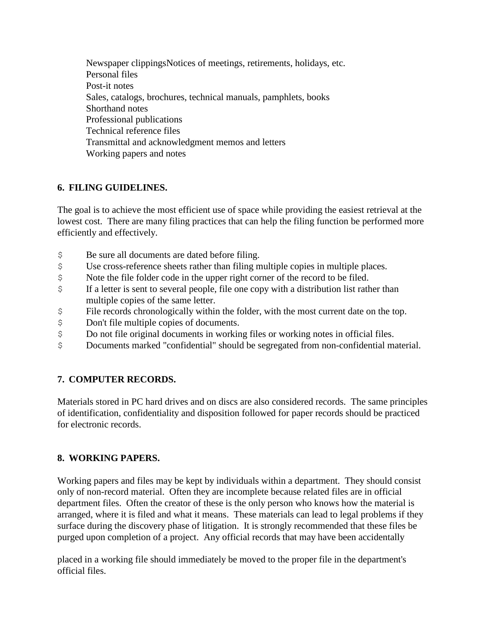Newspaper clippingsNotices of meetings, retirements, holidays, etc. Personal files Post-it notes Sales, catalogs, brochures, technical manuals, pamphlets, books Shorthand notes Professional publications Technical reference files Transmittal and acknowledgment memos and letters Working papers and notes

## **6. FILING GUIDELINES.**

The goal is to achieve the most efficient use of space while providing the easiest retrieval at the lowest cost. There are many filing practices that can help the filing function be performed more efficiently and effectively.

- \$ Be sure all documents are dated before filing.
- \$ Use cross-reference sheets rather than filing multiple copies in multiple places.
- \$ Note the file folder code in the upper right corner of the record to be filed.
- \$ If a letter is sent to several people, file one copy with a distribution list rather than multiple copies of the same letter.
- \$ File records chronologically within the folder, with the most current date on the top.
- \$ Don't file multiple copies of documents.
- \$ Do not file original documents in working files or working notes in official files.
- \$ Documents marked "confidential" should be segregated from non-confidential material.

## **7. COMPUTER RECORDS.**

Materials stored in PC hard drives and on discs are also considered records. The same principles of identification, confidentiality and disposition followed for paper records should be practiced for electronic records.

## **8. WORKING PAPERS.**

Working papers and files may be kept by individuals within a department. They should consist only of non-record material. Often they are incomplete because related files are in official department files. Often the creator of these is the only person who knows how the material is arranged, where it is filed and what it means. These materials can lead to legal problems if they surface during the discovery phase of litigation. It is strongly recommended that these files be purged upon completion of a project. Any official records that may have been accidentally

placed in a working file should immediately be moved to the proper file in the department's official files.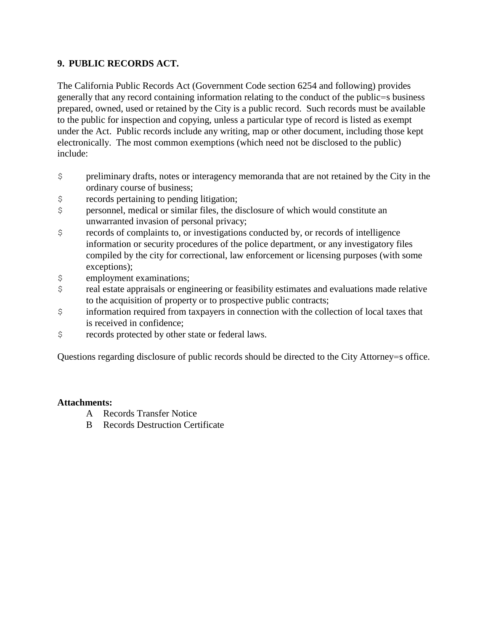### **9. PUBLIC RECORDS ACT.**

The California Public Records Act (Government Code section 6254 and following) provides generally that any record containing information relating to the conduct of the public=s business prepared, owned, used or retained by the City is a public record. Such records must be available to the public for inspection and copying, unless a particular type of record is listed as exempt under the Act. Public records include any writing, map or other document, including those kept electronically. The most common exemptions (which need not be disclosed to the public) include:

- \$ preliminary drafts, notes or interagency memoranda that are not retained by the City in the ordinary course of business;
- \$ records pertaining to pending litigation;
- \$ personnel, medical or similar files, the disclosure of which would constitute an unwarranted invasion of personal privacy;
- \$ records of complaints to, or investigations conducted by, or records of intelligence information or security procedures of the police department, or any investigatory files compiled by the city for correctional, law enforcement or licensing purposes (with some exceptions);
- \$ employment examinations;
- \$ real estate appraisals or engineering or feasibility estimates and evaluations made relative to the acquisition of property or to prospective public contracts;
- \$ information required from taxpayers in connection with the collection of local taxes that is received in confidence;
- \$ records protected by other state or federal laws.

Questions regarding disclosure of public records should be directed to the City Attorney=s office.

### **Attachments:**

- A Records Transfer Notice
- B Records Destruction Certificate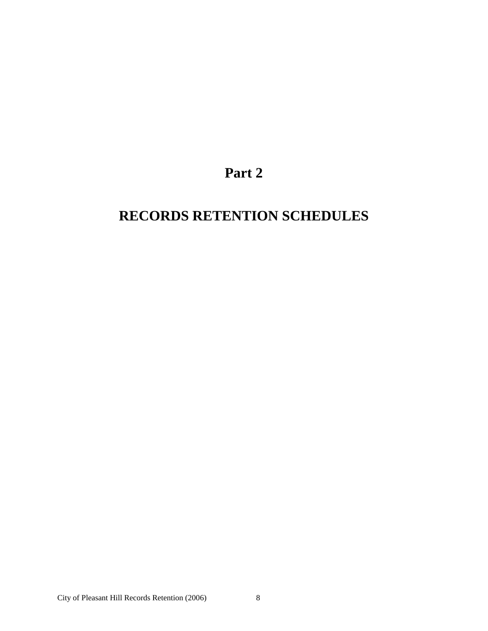## **Part 2**

# **RECORDS RETENTION SCHEDULES**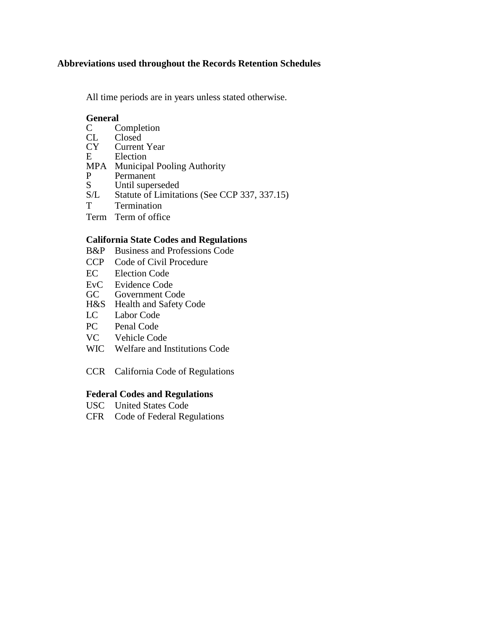### **Abbreviations used throughout the Records Retention Schedules**

All time periods are in years unless stated otherwise.

# General<br>C C

- C Completion<br>CL Closed
- CL Closed<br>CY Current
- CY Current Year<br>E Election
- **Election**
- MPA Municipal Pooling Authority<br>P Permanent
- P Permanent<br>S Until supers
- S Until superseded<br>S/L Statute of Limitat
- Statute of Limitations (See CCP 337, 337.15)
- T Termination
- Term Term of office

### **California State Codes and Regulations**

- B&P Business and Professions Code
- CCP Code of Civil Procedure
- EC Election Code
- EvC Evidence Code<br>GC Government Co
- Government Code
- H&S Health and Safety Code
- LC Labor Code
- PC Penal Code
- VC Vehicle Code
- WIC Welfare and Institutions Code
- CCR California Code of Regulations

#### **Federal Codes and Regulations**

- USC United States Code
- CFR Code of Federal Regulations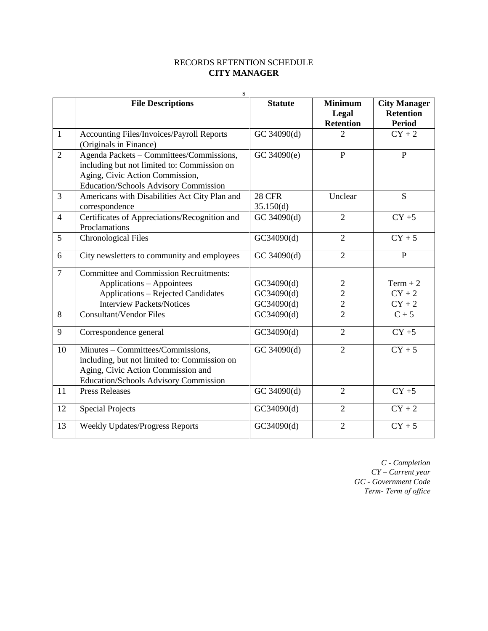### RECORDS RETENTION SCHEDULE **CITY MANAGER**

|                | S                                             |                |                  |                     |
|----------------|-----------------------------------------------|----------------|------------------|---------------------|
|                | <b>File Descriptions</b>                      | <b>Statute</b> | <b>Minimum</b>   | <b>City Manager</b> |
|                |                                               |                | Legal            | <b>Retention</b>    |
|                |                                               |                | <b>Retention</b> | <b>Period</b>       |
| $\mathbf{1}$   | Accounting Files/Invoices/Payroll Reports     | GC 34090(d)    | $\overline{2}$   | $CY + 2$            |
|                | (Originals in Finance)                        |                |                  |                     |
| $\overline{2}$ | Agenda Packets - Committees/Commissions,      | GC 34090(e)    | $\mathbf{P}$     | $\mathbf{P}$        |
|                | including but not limited to: Commission on   |                |                  |                     |
|                | Aging, Civic Action Commission,               |                |                  |                     |
|                | Education/Schools Advisory Commission         |                |                  |                     |
| $\overline{3}$ | Americans with Disabilities Act City Plan and | <b>28 CFR</b>  | Unclear          | $\overline{S}$      |
|                | correspondence                                | 35.150(d)      |                  |                     |
| $\overline{4}$ | Certificates of Appreciations/Recognition and | GC 34090(d)    | $\overline{2}$   | $CY + 5$            |
|                | Proclamations                                 |                |                  |                     |
| 5              | <b>Chronological Files</b>                    | GC34090(d)     | $\overline{2}$   | $CY + 5$            |
| 6              | City newsletters to community and employees   | GC 34090(d)    | $\overline{2}$   | $\mathbf{P}$        |
| $\overline{7}$ | <b>Committee and Commission Recruitments:</b> |                |                  |                     |
|                | Applications - Appointees                     | GC34090(d)     | $\overline{2}$   | $Term + 2$          |
|                | <b>Applications - Rejected Candidates</b>     | GC34090(d)     | $\overline{2}$   | $CY + 2$            |
|                | <b>Interview Packets/Notices</b>              | GC34090(d)     | $\overline{2}$   | $CY + 2$            |
| 8              | <b>Consultant/Vendor Files</b>                | GC34090(d)     | $\overline{2}$   | $C + 5$             |
| 9              | Correspondence general                        | GC34090(d)     | $\overline{2}$   | $CY + 5$            |
| 10             | Minutes - Committees/Commissions,             | GC 34090(d)    | $\overline{2}$   | $CY + 5$            |
|                | including, but not limited to: Commission on  |                |                  |                     |
|                | Aging, Civic Action Commission and            |                |                  |                     |
|                | Education/Schools Advisory Commission         |                |                  |                     |
| 11             | <b>Press Releases</b>                         | GC 34090(d)    | $\overline{2}$   | $CY + 5$            |
| 12             | <b>Special Projects</b>                       | GC34090(d)     | $\overline{2}$   | $CY + 2$            |
| 13             | <b>Weekly Updates/Progress Reports</b>        | GC34090(d)     | $\overline{2}$   | $CY + 5$            |

*C - Completion CY – Current year GC - Government Code Term- Term of office*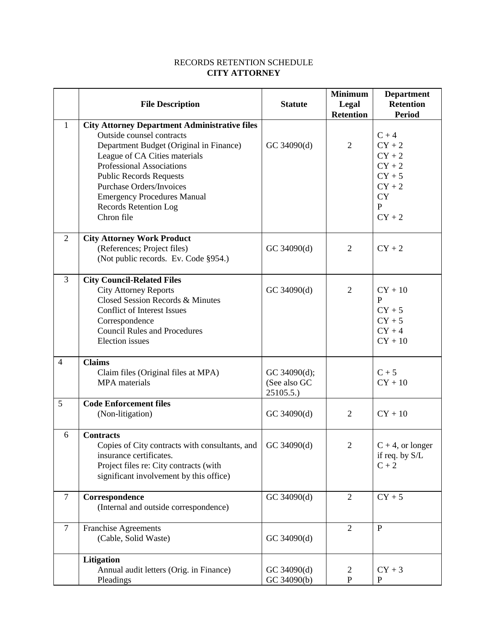### RECORDS RETENTION SCHEDULE **CITY ATTORNEY**

|                |                                                                                                                                                                                                                                                                                                                                                            | <b>Statute</b>                           | <b>Minimum</b><br>Legal | <b>Department</b><br><b>Retention</b>                                                                        |
|----------------|------------------------------------------------------------------------------------------------------------------------------------------------------------------------------------------------------------------------------------------------------------------------------------------------------------------------------------------------------------|------------------------------------------|-------------------------|--------------------------------------------------------------------------------------------------------------|
|                | <b>File Description</b>                                                                                                                                                                                                                                                                                                                                    |                                          | <b>Retention</b>        | <b>Period</b>                                                                                                |
| $\mathbf{1}$   | <b>City Attorney Department Administrative files</b><br>Outside counsel contracts<br>Department Budget (Original in Finance)<br>League of CA Cities materials<br><b>Professional Associations</b><br><b>Public Records Requests</b><br><b>Purchase Orders/Invoices</b><br><b>Emergency Procedures Manual</b><br><b>Records Retention Log</b><br>Chron file | GC 34090(d)                              | $\overline{2}$          | $C + 4$<br>$CY + 2$<br>$CY + 2$<br>$CY + 2$<br>$CY + 5$<br>$CY + 2$<br><b>CY</b><br>$\mathbf{P}$<br>$CY + 2$ |
| $\overline{2}$ | <b>City Attorney Work Product</b><br>(References; Project files)<br>(Not public records. Ev. Code §954.)                                                                                                                                                                                                                                                   | GC 34090(d)                              | 2                       | $CY + 2$                                                                                                     |
| 3              | <b>City Council-Related Files</b><br><b>City Attorney Reports</b><br>Closed Session Records & Minutes<br><b>Conflict of Interest Issues</b><br>Correspondence<br><b>Council Rules and Procedures</b><br><b>Election</b> issues                                                                                                                             | GC 34090(d)                              | $\overline{2}$          | $CY + 10$<br>P<br>$CY + 5$<br>$CY + 5$<br>$CY + 4$<br>$CY + 10$                                              |
| $\overline{4}$ | <b>Claims</b><br>Claim files (Original files at MPA)<br><b>MPA</b> materials                                                                                                                                                                                                                                                                               | GC 34090(d);<br>(See also GC<br>25105.5. |                         | $C + 5$<br>$CY + 10$                                                                                         |
| 5              | <b>Code Enforcement files</b><br>(Non-litigation)                                                                                                                                                                                                                                                                                                          | GC 34090(d)                              | $\overline{2}$          | $CY + 10$                                                                                                    |
| 6              | <b>Contracts</b><br>Copies of City contracts with consultants, and $\vert$ GC 34090(d)<br>insurance certificates.<br>Project files re: City contracts (with<br>significant involvement by this office)                                                                                                                                                     |                                          | $\overline{2}$          | $C + 4$ , or longer<br>if req. by $S/L$<br>$C + 2$                                                           |
| $\tau$         | Correspondence<br>(Internal and outside correspondence)                                                                                                                                                                                                                                                                                                    | GC 34090(d)                              | 2                       | $CY + 5$                                                                                                     |
| $\tau$         | Franchise Agreements<br>(Cable, Solid Waste)                                                                                                                                                                                                                                                                                                               | GC 34090(d)                              | $\overline{2}$          | $\mathbf{P}$                                                                                                 |
|                | Litigation<br>Annual audit letters (Orig. in Finance)<br>Pleadings                                                                                                                                                                                                                                                                                         | GC 34090(d)<br>GC 34090(b)               | 2<br>$\mathbf{P}$       | $CY + 3$<br>P                                                                                                |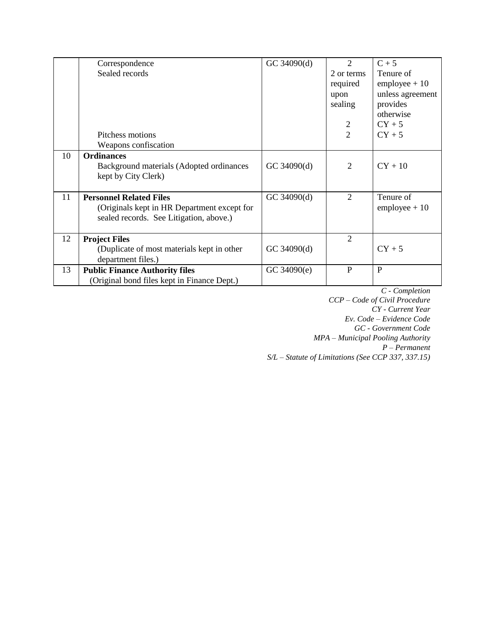|    | Correspondence                              | GC 34090(d) | $\overline{c}$ | $C + 5$                |
|----|---------------------------------------------|-------------|----------------|------------------------|
|    | Sealed records                              |             | 2 or terms     | Tenure of              |
|    |                                             |             | required       | $employee + 10$        |
|    |                                             |             | upon           | unless agreement       |
|    |                                             |             | sealing        | provides               |
|    |                                             |             |                | otherwise              |
|    |                                             |             | $\overline{c}$ | $CY + 5$               |
|    | Pitchess motions                            |             | $\overline{2}$ | $CY + 5$               |
|    | Weapons confiscation                        |             |                |                        |
| 10 | <b>Ordinances</b>                           |             |                |                        |
|    | Background materials (Adopted ordinances    | GC 34090(d) | $\overline{2}$ | $CY + 10$              |
|    | kept by City Clerk)                         |             |                |                        |
|    |                                             |             |                |                        |
| 11 | <b>Personnel Related Files</b>              | GC 34090(d) | $\overline{2}$ | Tenure of              |
|    | (Originals kept in HR Department except for |             |                | $\text{employee} + 10$ |
|    | sealed records. See Litigation, above.)     |             |                |                        |
|    |                                             |             |                |                        |
| 12 | <b>Project Files</b>                        |             | 2              |                        |
|    | (Duplicate of most materials kept in other) | GC 34090(d) |                | $CY + 5$               |
|    | department files.)                          |             |                |                        |
| 13 | <b>Public Finance Authority files</b>       | GC 34090(e) | P              | P                      |
|    | (Original bond files kept in Finance Dept.) |             |                |                        |

*C - Completion CCP – Code of Civil Procedure CY - Current Year Ev. Code – Evidence Code GC - Government Code MPA – Municipal Pooling Authority P – Permanent S/L – Statute of Limitations (See CCP 337, 337.15)*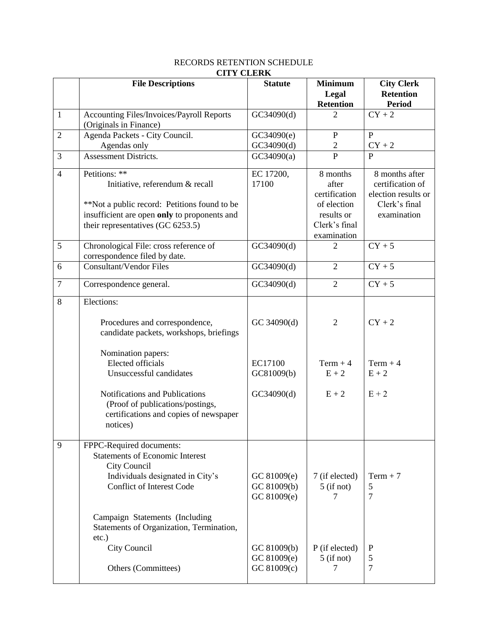|                | CII I CLEAR                                                                                                                                                                                                                                                                                      |                                                                         |                                                                                                 |                                                                                           |
|----------------|--------------------------------------------------------------------------------------------------------------------------------------------------------------------------------------------------------------------------------------------------------------------------------------------------|-------------------------------------------------------------------------|-------------------------------------------------------------------------------------------------|-------------------------------------------------------------------------------------------|
|                | <b>File Descriptions</b>                                                                                                                                                                                                                                                                         | <b>Statute</b>                                                          | <b>Minimum</b><br>Legal<br><b>Retention</b>                                                     | <b>City Clerk</b><br><b>Retention</b><br><b>Period</b>                                    |
| $\mathbf{1}$   | Accounting Files/Invoices/Payroll Reports<br>(Originals in Finance)                                                                                                                                                                                                                              | GC34090(d)                                                              | $\overline{2}$                                                                                  | $CY + 2$                                                                                  |
| $\overline{2}$ | Agenda Packets - City Council.<br>Agendas only                                                                                                                                                                                                                                                   | GC34090(e)<br>GC34090(d)                                                | $\mathbf{P}$<br>$\sqrt{2}$                                                                      | $\mathbf{P}$<br>$CY + 2$                                                                  |
| 3              | <b>Assessment Districts.</b>                                                                                                                                                                                                                                                                     | GC34090(a)                                                              | $\overline{P}$                                                                                  | P                                                                                         |
| $\overline{4}$ | Petitions: **<br>Initiative, referendum & recall<br>**Not a public record: Petitions found to be<br>insufficient are open only to proponents and<br>their representatives (GC 6253.5)                                                                                                            | EC 17200,<br>17100                                                      | 8 months<br>after<br>certification<br>of election<br>results or<br>Clerk's final<br>examination | 8 months after<br>certification of<br>election results or<br>Clerk's final<br>examination |
| 5              | Chronological File: cross reference of<br>correspondence filed by date.                                                                                                                                                                                                                          | GC34090(d)                                                              | $\overline{2}$                                                                                  | $CY + 5$                                                                                  |
| 6              | <b>Consultant/Vendor Files</b>                                                                                                                                                                                                                                                                   | GC34090(d)                                                              | $\overline{2}$                                                                                  | $CY + 5$                                                                                  |
| $\overline{7}$ | Correspondence general.                                                                                                                                                                                                                                                                          | GC34090(d)                                                              | $\overline{2}$                                                                                  | $CY + 5$                                                                                  |
| 8<br>9         | Elections:<br>Procedures and correspondence,<br>candidate packets, workshops, briefings<br>Nomination papers:<br><b>Elected officials</b><br>Unsuccessful candidates<br>Notifications and Publications<br>(Proof of publications/postings,<br>certifications and copies of newspaper<br>notices) | GC 34090(d)<br>EC17100<br>GC81009(b)<br>GC34090(d)                      | $\overline{2}$<br>$Term + 4$<br>$E + 2$<br>$E + 2$                                              | $CY + 2$<br>$Term + 4$<br>$E + 2$<br>$E + 2$                                              |
|                | FPPC-Required documents:<br><b>Statements of Economic Interest</b><br>City Council<br>Individuals designated in City's<br><b>Conflict of Interest Code</b><br>Campaign Statements (Including<br>Statements of Organization, Termination,<br>etc.)<br>City Council                                | GC 81009(e)<br>GC 81009(b)<br>GC 81009(e)<br>GC 81009(b)<br>GC 81009(e) | 7 (if elected)<br>$5$ (if not)<br>7<br>P (if elected)<br>$5$ (if not)                           | $Term + 7$<br>5<br>7<br>$\mathbf P$<br>5                                                  |
|                | Others (Committees)                                                                                                                                                                                                                                                                              | GC 81009(c)                                                             | 7                                                                                               | 7                                                                                         |

#### RECORDS RETENTION SCHEDULE **CITY CLERK**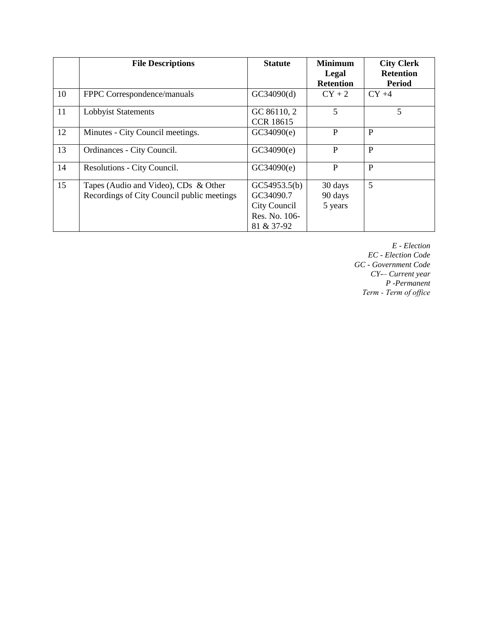|    | <b>File Descriptions</b>                                                           | <b>Statute</b>                                                           | <b>Minimum</b><br>Legal<br><b>Retention</b> | <b>City Clerk</b><br><b>Retention</b><br><b>Period</b> |
|----|------------------------------------------------------------------------------------|--------------------------------------------------------------------------|---------------------------------------------|--------------------------------------------------------|
| 10 | FPPC Correspondence/manuals                                                        | GC34090(d)                                                               | $CY + 2$                                    | $CY +4$                                                |
| 11 | <b>Lobbyist Statements</b>                                                         | GC 86110, 2<br><b>CCR 18615</b>                                          | 5                                           | 5                                                      |
| 12 | Minutes - City Council meetings.                                                   | GC34090(e)                                                               | P                                           | P                                                      |
| 13 | Ordinances - City Council.                                                         | GC34090(e)                                                               | P                                           | P                                                      |
| 14 | Resolutions - City Council.                                                        | GC34090(e)                                                               | P                                           | P                                                      |
| 15 | Tapes (Audio and Video), CDs & Other<br>Recordings of City Council public meetings | GC54953.5(b)<br>GC34090.7<br>City Council<br>Res. No. 106-<br>81 & 37-92 | 30 days<br>90 days<br>5 years               | 5                                                      |

*E - Election EC - Election Code GC - Government Code CY-– Current year P -Permanent Term - Term of office*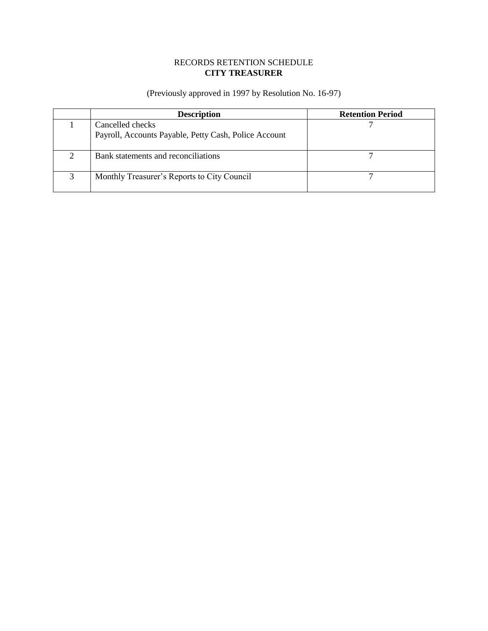### RECORDS RETENTION SCHEDULE **CITY TREASURER**

(Previously approved in 1997 by Resolution No. 16-97)

|              | <b>Description</b>                                                        | <b>Retention Period</b> |
|--------------|---------------------------------------------------------------------------|-------------------------|
|              | Cancelled checks<br>Payroll, Accounts Payable, Petty Cash, Police Account |                         |
|              |                                                                           |                         |
|              | Bank statements and reconciliations                                       |                         |
| $\mathbf{z}$ | Monthly Treasurer's Reports to City Council                               |                         |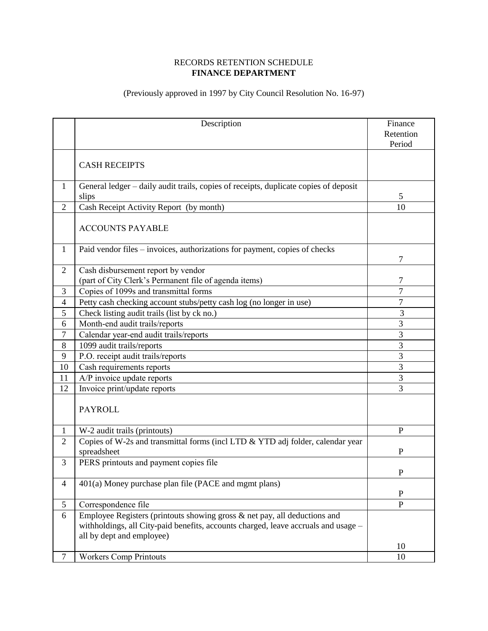### RECORDS RETENTION SCHEDULE **FINANCE DEPARTMENT**

## (Previously approved in 1997 by City Council Resolution No. 16-97)

|                          | Description                                                                          | Finance        |
|--------------------------|--------------------------------------------------------------------------------------|----------------|
|                          |                                                                                      | Retention      |
|                          |                                                                                      | Period         |
|                          |                                                                                      |                |
|                          | <b>CASH RECEIPTS</b>                                                                 |                |
|                          |                                                                                      |                |
| $\mathbf{1}$             | General ledger – daily audit trails, copies of receipts, duplicate copies of deposit |                |
|                          | slips                                                                                | 5              |
| $\overline{2}$           | Cash Receipt Activity Report (by month)                                              | 10             |
|                          |                                                                                      |                |
|                          | <b>ACCOUNTS PAYABLE</b>                                                              |                |
|                          |                                                                                      |                |
| $\mathbf{1}$             | Paid vendor files – invoices, authorizations for payment, copies of checks           |                |
|                          |                                                                                      | 7              |
| $\overline{2}$           | Cash disbursement report by vendor                                                   |                |
|                          | (part of City Clerk's Permanent file of agenda items)                                | 7              |
| 3                        | Copies of 1099s and transmittal forms                                                | $\overline{7}$ |
| $\overline{\mathcal{L}}$ | Petty cash checking account stubs/petty cash log (no longer in use)                  | $\overline{7}$ |
| 5                        | Check listing audit trails (list by ck no.)                                          | 3              |
| 6                        | Month-end audit trails/reports                                                       | 3              |
| $\tau$                   | Calendar year-end audit trails/reports                                               | $\overline{3}$ |
| 8                        | 1099 audit trails/reports                                                            | $\overline{3}$ |
| 9                        | P.O. receipt audit trails/reports                                                    | 3              |
| 10                       | Cash requirements reports                                                            | 3              |
| 11                       | A/P invoice update reports                                                           | 3              |
| 12                       | Invoice print/update reports                                                         | 3              |
|                          |                                                                                      |                |
|                          | <b>PAYROLL</b>                                                                       |                |
|                          |                                                                                      |                |
| $\mathbf{1}$             | W-2 audit trails (printouts)                                                         | $\overline{P}$ |
| $\overline{2}$           | Copies of W-2s and transmittal forms (incl LTD & YTD adj folder, calendar year       |                |
|                          | spreadsheet                                                                          | P              |
| 3                        | PERS printouts and payment copies file                                               |                |
|                          |                                                                                      | ${\bf P}$      |
| $\overline{4}$           | 401(a) Money purchase plan file (PACE and mgmt plans)                                |                |
|                          |                                                                                      | $\mathbf P$    |
| 5                        | Correspondence file                                                                  | $\overline{P}$ |
| 6                        | Employee Registers (printouts showing gross $\&$ net pay, all deductions and         |                |
|                          | withholdings, all City-paid benefits, accounts charged, leave accruals and usage -   |                |
|                          | all by dept and employee)                                                            |                |
|                          |                                                                                      | 10             |
| $\tau$                   | <b>Workers Comp Printouts</b>                                                        | 10             |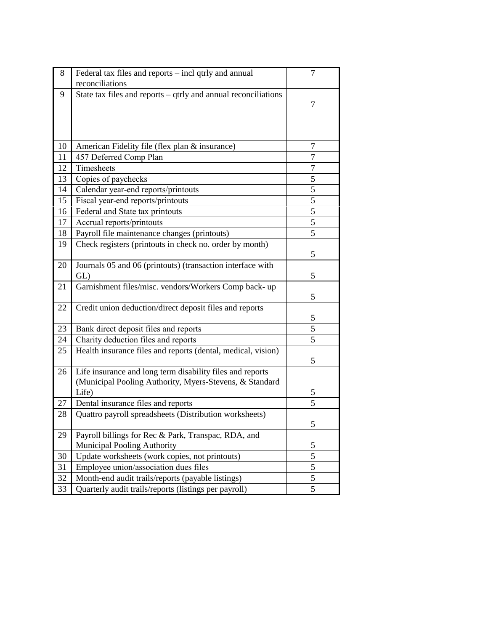| 8  | Federal tax files and reports – incl qtrly and annual<br>reconciliations                                                      | 7              |
|----|-------------------------------------------------------------------------------------------------------------------------------|----------------|
| 9  | State tax files and reports $-$ qtrly and annual reconciliations                                                              | 7              |
| 10 | American Fidelity file (flex plan & insurance)                                                                                | 7              |
| 11 | 457 Deferred Comp Plan                                                                                                        | 7              |
| 12 | Timesheets                                                                                                                    | $\overline{7}$ |
| 13 | Copies of paychecks                                                                                                           | 5              |
| 14 | Calendar year-end reports/printouts                                                                                           | 5              |
| 15 | Fiscal year-end reports/printouts                                                                                             | 5              |
| 16 | Federal and State tax printouts                                                                                               | 5              |
| 17 | Accrual reports/printouts                                                                                                     | 5              |
| 18 | Payroll file maintenance changes (printouts)                                                                                  | 5              |
| 19 | Check registers (printouts in check no. order by month)                                                                       | 5              |
| 20 | Journals 05 and 06 (printouts) (transaction interface with<br>GL)                                                             | 5              |
| 21 | Garnishment files/misc. vendors/Workers Comp back- up                                                                         | 5              |
| 22 | Credit union deduction/direct deposit files and reports                                                                       | 5              |
| 23 | Bank direct deposit files and reports                                                                                         | 5              |
| 24 | Charity deduction files and reports                                                                                           | 5              |
| 25 | Health insurance files and reports (dental, medical, vision)                                                                  | 5              |
| 26 | Life insurance and long term disability files and reports<br>(Municipal Pooling Authority, Myers-Stevens, & Standard<br>Life) | 5              |
| 27 | Dental insurance files and reports                                                                                            | 5              |
| 28 | Quattro payroll spreadsheets (Distribution worksheets)                                                                        | C              |
| 29 | Payroll billings for Rec & Park, Transpac, RDA, and<br><b>Municipal Pooling Authority</b>                                     | 5              |
| 30 | Update worksheets (work copies, not printouts)                                                                                | 5              |
| 31 | Employee union/association dues files                                                                                         | 5              |
| 32 | Month-end audit trails/reports (payable listings)                                                                             | 5              |
| 33 | Quarterly audit trails/reports (listings per payroll)                                                                         | 5              |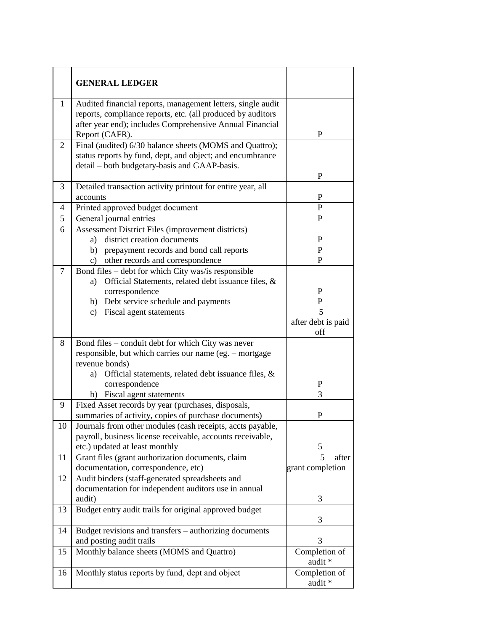|                | <b>GENERAL LEDGER</b>                                                                                                                                                                                                                           |                                                    |
|----------------|-------------------------------------------------------------------------------------------------------------------------------------------------------------------------------------------------------------------------------------------------|----------------------------------------------------|
| 1              | Audited financial reports, management letters, single audit<br>reports, compliance reports, etc. (all produced by auditors<br>after year end); includes Comprehensive Annual Financial<br>Report (CAFR).                                        | $\mathbf P$                                        |
| $\overline{2}$ | Final (audited) 6/30 balance sheets (MOMS and Quattro);<br>status reports by fund, dept, and object; and encumbrance<br>detail – both budgetary-basis and GAAP-basis.                                                                           | $\mathbf P$                                        |
| 3              | Detailed transaction activity printout for entire year, all<br>accounts                                                                                                                                                                         | P                                                  |
| 4              | Printed approved budget document                                                                                                                                                                                                                | P                                                  |
| 5              | General journal entries                                                                                                                                                                                                                         | P                                                  |
| 6              | Assessment District Files (improvement districts)<br>district creation documents<br>a)<br>prepayment records and bond call reports<br>b)<br>other records and correspondence<br>$\mathbf{c}$ )                                                  | P<br>P<br>P                                        |
| $\overline{7}$ | Bond files – debt for which City was/is responsible<br>Official Statements, related debt issuance files, &<br>a)<br>correspondence<br>b) Debt service schedule and payments<br>Fiscal agent statements<br>$\mathbf{c})$                         | P<br>$\mathbf P$<br>5<br>after debt is paid<br>off |
| 8              | Bond files - conduit debt for which City was never<br>responsible, but which carries our name (eg. - mortgage<br>revenue bonds)<br>Official statements, related debt issuance files, $\&$<br>a)<br>correspondence<br>b) Fiscal agent statements | ${\bf P}$<br>3                                     |
| 9              | Fixed Asset records by year (purchases, disposals,<br>summaries of activity, copies of purchase documents)                                                                                                                                      | P                                                  |
| 10             | Journals from other modules (cash receipts, accts payable,<br>payroll, business license receivable, accounts receivable,<br>etc.) updated at least monthly                                                                                      | 5                                                  |
| 11             | Grant files (grant authorization documents, claim<br>documentation, correspondence, etc)                                                                                                                                                        | 5<br>after<br>grant completion                     |
| 12             | Audit binders (staff-generated spreadsheets and<br>documentation for independent auditors use in annual<br>audit)                                                                                                                               | 3                                                  |
| 13             | Budget entry audit trails for original approved budget                                                                                                                                                                                          | 3                                                  |
| 14             | Budget revisions and transfers - authorizing documents<br>and posting audit trails                                                                                                                                                              | 3                                                  |
| 15             | Monthly balance sheets (MOMS and Quattro)                                                                                                                                                                                                       | Completion of<br>audit *                           |
| 16             | Monthly status reports by fund, dept and object                                                                                                                                                                                                 | Completion of<br>audit *                           |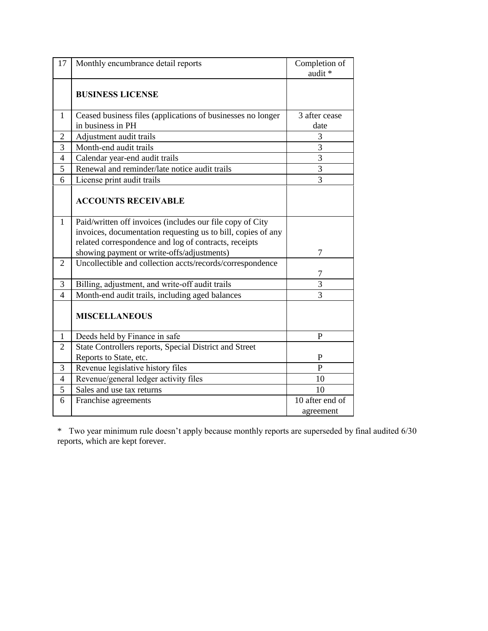| 17             | Monthly encumbrance detail reports                                                                                                                                                                                               | Completion of<br>audit *     |
|----------------|----------------------------------------------------------------------------------------------------------------------------------------------------------------------------------------------------------------------------------|------------------------------|
|                | <b>BUSINESS LICENSE</b>                                                                                                                                                                                                          |                              |
| 1              | Ceased business files (applications of businesses no longer<br>in business in PH                                                                                                                                                 | 3 after cease<br>date        |
| $\overline{2}$ | Adjustment audit trails                                                                                                                                                                                                          | 3                            |
| 3              | Month-end audit trails                                                                                                                                                                                                           | $\overline{3}$               |
| 4              | Calendar year-end audit trails                                                                                                                                                                                                   | $\overline{3}$               |
| 5              | Renewal and reminder/late notice audit trails                                                                                                                                                                                    | $\overline{3}$               |
| 6              | License print audit trails                                                                                                                                                                                                       | 3                            |
|                | <b>ACCOUNTS RECEIVABLE</b>                                                                                                                                                                                                       |                              |
| $\mathbf{1}$   | Paid/written off invoices (includes our file copy of City<br>invoices, documentation requesting us to bill, copies of any<br>related correspondence and log of contracts, receipts<br>showing payment or write-offs/adjustments) | 7                            |
| $\overline{2}$ | Uncollectible and collection accts/records/correspondence                                                                                                                                                                        | 7                            |
| 3              | Billing, adjustment, and write-off audit trails                                                                                                                                                                                  | 3                            |
| $\overline{4}$ | Month-end audit trails, including aged balances                                                                                                                                                                                  | 3                            |
|                | <b>MISCELLANEOUS</b>                                                                                                                                                                                                             |                              |
| 1              | Deeds held by Finance in safe                                                                                                                                                                                                    | P                            |
| $\overline{2}$ | State Controllers reports, Special District and Street                                                                                                                                                                           |                              |
|                | Reports to State, etc.                                                                                                                                                                                                           | P                            |
| 3              | Revenue legislative history files                                                                                                                                                                                                | P                            |
| $\overline{4}$ | Revenue/general ledger activity files                                                                                                                                                                                            | 10                           |
| 5              | Sales and use tax returns                                                                                                                                                                                                        | 10                           |
| 6              | Franchise agreements                                                                                                                                                                                                             | 10 after end of<br>agreement |

\* Two year minimum rule doesn't apply because monthly reports are superseded by final audited 6/30 reports, which are kept forever.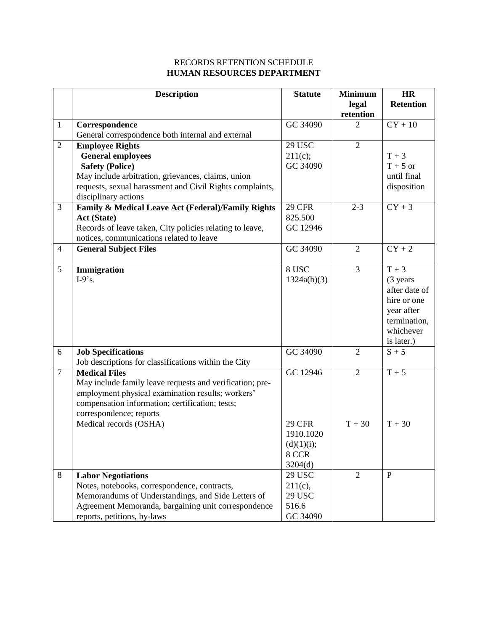### RECORDS RETENTION SCHEDULE **HUMAN RESOURCES DEPARTMENT**

|                | <b>Description</b>                                                                                   | <b>Statute</b>           | <b>Minimum</b> | <b>HR</b>        |
|----------------|------------------------------------------------------------------------------------------------------|--------------------------|----------------|------------------|
|                |                                                                                                      |                          | legal          | <b>Retention</b> |
|                |                                                                                                      |                          | retention      |                  |
| $\mathbf{1}$   | Correspondence                                                                                       | GC 34090                 | 2              | $CY + 10$        |
|                | General correspondence both internal and external                                                    |                          |                |                  |
| $\mathfrak{2}$ | <b>Employee Rights</b>                                                                               | <b>29 USC</b>            | $\overline{2}$ |                  |
|                | <b>General employees</b>                                                                             | 211(c);                  |                | $T + 3$          |
|                | <b>Safety (Police)</b>                                                                               | GC 34090                 |                | $T + 5$ or       |
|                | May include arbitration, grievances, claims, union                                                   |                          |                | until final      |
|                | requests, sexual harassment and Civil Rights complaints,                                             |                          |                | disposition      |
|                | disciplinary actions                                                                                 |                          |                |                  |
| $\overline{3}$ | Family & Medical Leave Act (Federal)/Family Rights                                                   | <b>29 CFR</b><br>825.500 | $2 - 3$        | $CY + 3$         |
|                | <b>Act (State)</b>                                                                                   | GC 12946                 |                |                  |
|                | Records of leave taken, City policies relating to leave,<br>notices, communications related to leave |                          |                |                  |
| $\overline{4}$ |                                                                                                      | GC 34090                 | $\overline{2}$ | $CY + 2$         |
|                | <b>General Subject Files</b>                                                                         |                          |                |                  |
| 5              | Immigration                                                                                          | 8 USC                    | $\overline{3}$ | $T + 3$          |
|                | $I-9$ 's.                                                                                            | 1324a(b)(3)              |                | (3 years         |
|                |                                                                                                      |                          |                | after date of    |
|                |                                                                                                      |                          |                | hire or one      |
|                |                                                                                                      |                          |                | year after       |
|                |                                                                                                      |                          |                | termination,     |
|                |                                                                                                      |                          |                | whichever        |
|                |                                                                                                      |                          |                | is later.)       |
| 6              | <b>Job Specifications</b>                                                                            | GC 34090                 | 2              | $S + 5$          |
|                | Job descriptions for classifications within the City                                                 |                          |                |                  |
| $\overline{7}$ | <b>Medical Files</b>                                                                                 | GC 12946                 | $\overline{2}$ | $T + 5$          |
|                | May include family leave requests and verification; pre-                                             |                          |                |                  |
|                | employment physical examination results; workers'                                                    |                          |                |                  |
|                | compensation information; certification; tests;                                                      |                          |                |                  |
|                | correspondence; reports                                                                              |                          |                |                  |
|                | Medical records (OSHA)                                                                               | <b>29 CFR</b>            | $T + 30$       | $T + 30$         |
|                |                                                                                                      | 1910.1020                |                |                  |
|                |                                                                                                      | (d)(1)(i);               |                |                  |
|                |                                                                                                      | 8 CCR                    |                |                  |
|                |                                                                                                      | 3204(d)                  |                |                  |
| 8              | <b>Labor Negotiations</b>                                                                            | <b>29 USC</b>            | $\overline{2}$ | $\mathbf{P}$     |
|                | Notes, notebooks, correspondence, contracts,                                                         | $211(c)$ ,               |                |                  |
|                | Memorandums of Understandings, and Side Letters of                                                   | <b>29 USC</b>            |                |                  |
|                | Agreement Memoranda, bargaining unit correspondence                                                  | 516.6                    |                |                  |
|                | reports, petitions, by-laws                                                                          | GC 34090                 |                |                  |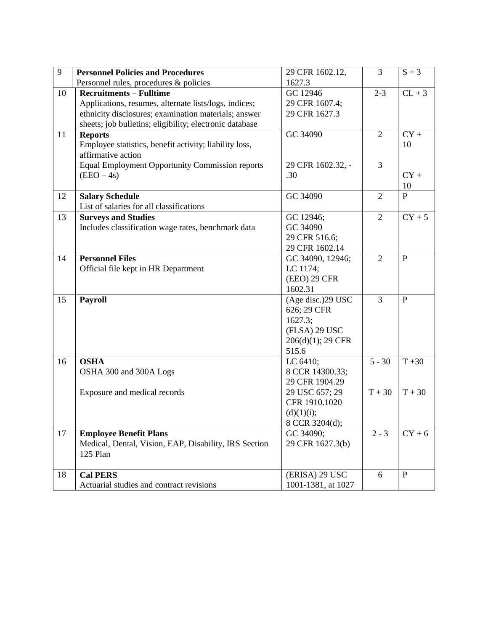| 9  | <b>Personnel Policies and Procedures</b>                | 29 CFR 1602.12,    | 3              | $S + 3$      |
|----|---------------------------------------------------------|--------------------|----------------|--------------|
|    | Personnel rules, procedures & policies                  | 1627.3             |                |              |
| 10 | <b>Recruitments - Fulltime</b>                          | GC 12946           | $2 - 3$        | $CL + 3$     |
|    | Applications, resumes, alternate lists/logs, indices;   | 29 CFR 1607.4;     |                |              |
|    | ethnicity disclosures; examination materials; answer    | 29 CFR 1627.3      |                |              |
|    | sheets; job bulletins; eligibility; electronic database |                    |                |              |
| 11 | <b>Reports</b>                                          | GC 34090           | $\overline{2}$ | $CY +$       |
|    | Employee statistics, benefit activity; liability loss,  |                    |                | 10           |
|    | affirmative action                                      |                    |                |              |
|    | <b>Equal Employment Opportunity Commission reports</b>  | 29 CFR 1602.32, -  | 3              |              |
|    | (EEO – 4s)                                              | .30                |                | $CY +$       |
|    |                                                         |                    |                | 10           |
| 12 | <b>Salary Schedule</b>                                  | GC 34090           | 2              | $\mathbf{P}$ |
|    | List of salaries for all classifications                |                    |                |              |
| 13 | <b>Surveys and Studies</b>                              | GC 12946;          | $\overline{2}$ | $CY + 5$     |
|    | Includes classification wage rates, benchmark data      | GC 34090           |                |              |
|    |                                                         | 29 CFR 516.6;      |                |              |
|    |                                                         | 29 CFR 1602.14     |                |              |
| 14 | <b>Personnel Files</b>                                  | GC 34090, 12946;   | $\overline{2}$ | $\mathbf{P}$ |
|    | Official file kept in HR Department                     | LC 1174;           |                |              |
|    |                                                         | (EEO) 29 CFR       |                |              |
|    |                                                         | 1602.31            |                |              |
| 15 | Payroll                                                 | (Age disc.)29 USC  | $\overline{3}$ | $\mathbf{P}$ |
|    |                                                         | 626; 29 CFR        |                |              |
|    |                                                         | 1627.3;            |                |              |
|    |                                                         | (FLSA) 29 USC      |                |              |
|    |                                                         | 206(d)(1); 29 CFR  |                |              |
|    |                                                         | 515.6              |                |              |
| 16 | <b>OSHA</b>                                             | LC 6410;           | $5 - 30$       | $T + 30$     |
|    | OSHA 300 and 300A Logs                                  | 8 CCR 14300.33;    |                |              |
|    |                                                         | 29 CFR 1904.29     |                |              |
|    | Exposure and medical records                            | 29 USC 657; 29     | $T + 30$       | $T + 30$     |
|    |                                                         | CFR 1910.1020      |                |              |
|    |                                                         | (d)(1)(i);         |                |              |
|    |                                                         | 8 CCR 3204(d);     |                |              |
| 17 | <b>Employee Benefit Plans</b>                           | GC 34090;          | $2 - 3$        | $CY + 6$     |
|    | Medical, Dental, Vision, EAP, Disability, IRS Section   | 29 CFR 1627.3(b)   |                |              |
|    | 125 Plan                                                |                    |                |              |
|    |                                                         |                    |                |              |
| 18 | <b>Cal PERS</b>                                         | (ERISA) 29 USC     | 6              | $\mathbf{P}$ |
|    | Actuarial studies and contract revisions                | 1001-1381, at 1027 |                |              |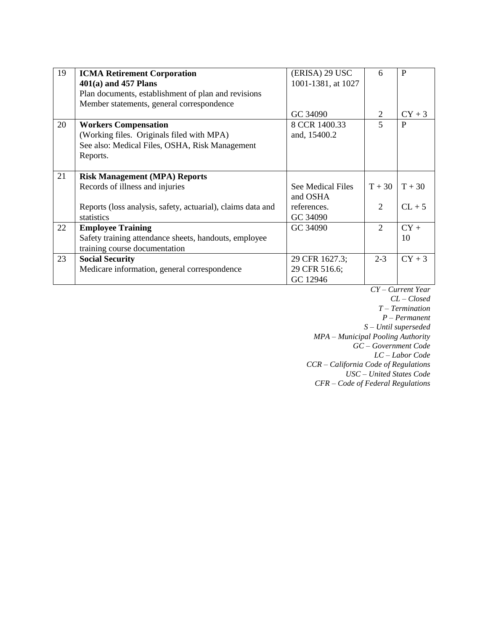| 19 | <b>ICMA Retirement Corporation</b>                          | (ERISA) 29 USC     | 6                           | P        |
|----|-------------------------------------------------------------|--------------------|-----------------------------|----------|
|    | $401(a)$ and 457 Plans                                      | 1001-1381, at 1027 |                             |          |
|    | Plan documents, establishment of plan and revisions         |                    |                             |          |
|    | Member statements, general correspondence                   |                    |                             |          |
|    |                                                             | GC 34090           | 2                           | $CY + 3$ |
| 20 | <b>Workers Compensation</b>                                 | 8 CCR 1400.33      | 5                           | P        |
|    | (Working files. Originals filed with MPA)                   | and, 15400.2       |                             |          |
|    | See also: Medical Files, OSHA, Risk Management              |                    |                             |          |
|    | Reports.                                                    |                    |                             |          |
|    |                                                             |                    |                             |          |
| 21 | <b>Risk Management (MPA) Reports</b>                        |                    |                             |          |
|    | Records of illness and injuries                             | See Medical Files  | $T + 30$                    | $T + 30$ |
|    |                                                             | and OSHA           |                             |          |
|    | Reports (loss analysis, safety, actuarial), claims data and | references.        | 2                           | $CL + 5$ |
|    | statistics                                                  | GC 34090           |                             |          |
| 22 | <b>Employee Training</b>                                    | GC 34090           | $\mathcal{D}_{\mathcal{L}}$ | $CY +$   |
|    | Safety training attendance sheets, handouts, employee       |                    |                             | 10       |
|    | training course documentation                               |                    |                             |          |
| 23 | <b>Social Security</b>                                      | 29 CFR 1627.3;     | $2 - 3$                     | $CY + 3$ |
|    | Medicare information, general correspondence                | 29 CFR 516.6;      |                             |          |
|    |                                                             | GC 12946           |                             |          |

*CY – Current Year CL – Closed T – Termination P – Permanent S – Until superseded MPA – Municipal Pooling Authority GC – Government Code LC – Labor Code CCR – California Code of Regulations USC – United States Code CFR – Code of Federal Regulations*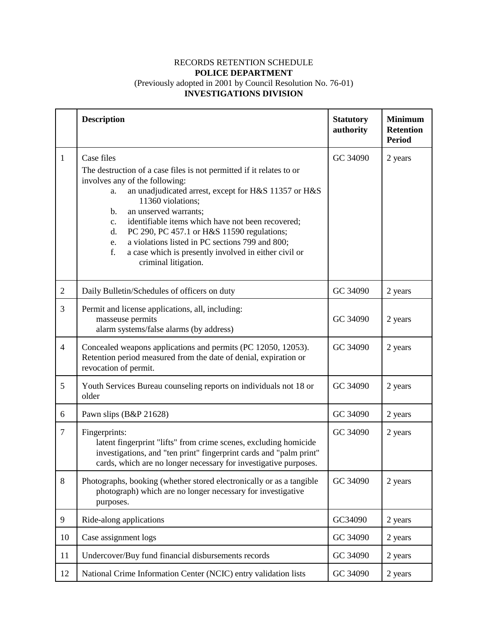#### RECORDS RETENTION SCHEDULE **POLICE DEPARTMENT** (Previously adopted in 2001 by Council Resolution No. 76-01) **INVESTIGATIONS DIVISION**

|                | <b>Description</b>                                                                                                                                                                                                                                                                                                                                                                                                                                                                                    | <b>Statutory</b><br>authority | <b>Minimum</b><br><b>Retention</b><br><b>Period</b> |
|----------------|-------------------------------------------------------------------------------------------------------------------------------------------------------------------------------------------------------------------------------------------------------------------------------------------------------------------------------------------------------------------------------------------------------------------------------------------------------------------------------------------------------|-------------------------------|-----------------------------------------------------|
| 1              | Case files<br>The destruction of a case files is not permitted if it relates to or<br>involves any of the following:<br>an unadjudicated arrest, except for H&S 11357 or H&S<br>a.<br>11360 violations;<br>an unserved warrants;<br>b.<br>identifiable items which have not been recovered;<br>c.<br>PC 290, PC 457.1 or H&S 11590 regulations;<br>d.<br>a violations listed in PC sections 799 and 800;<br>e.<br>f.<br>a case which is presently involved in either civil or<br>criminal litigation. | GC 34090                      | 2 years                                             |
| $\overline{2}$ | Daily Bulletin/Schedules of officers on duty                                                                                                                                                                                                                                                                                                                                                                                                                                                          | GC 34090                      | 2 years                                             |
| 3              | Permit and license applications, all, including:<br>masseuse permits<br>alarm systems/false alarms (by address)                                                                                                                                                                                                                                                                                                                                                                                       | GC 34090                      | 2 years                                             |
| $\overline{4}$ | Concealed weapons applications and permits (PC 12050, 12053).<br>Retention period measured from the date of denial, expiration or<br>revocation of permit.                                                                                                                                                                                                                                                                                                                                            | GC 34090                      | 2 years                                             |
| 5              | Youth Services Bureau counseling reports on individuals not 18 or<br>older                                                                                                                                                                                                                                                                                                                                                                                                                            | GC 34090                      | 2 years                                             |
| 6              | Pawn slips (B&P 21628)                                                                                                                                                                                                                                                                                                                                                                                                                                                                                | GC 34090                      | 2 years                                             |
| $\overline{7}$ | Fingerprints:<br>latent fingerprint "lifts" from crime scenes, excluding homicide<br>investigations, and "ten print" fingerprint cards and "palm print"<br>cards, which are no longer necessary for investigative purposes.                                                                                                                                                                                                                                                                           | GC 34090                      | 2 years                                             |
| 8              | Photographs, booking (whether stored electronically or as a tangible<br>photograph) which are no longer necessary for investigative<br>purposes.                                                                                                                                                                                                                                                                                                                                                      | GC 34090                      | 2 years                                             |
| $\mathbf{9}$   | Ride-along applications                                                                                                                                                                                                                                                                                                                                                                                                                                                                               | GC34090                       | 2 years                                             |
| 10             | Case assignment logs                                                                                                                                                                                                                                                                                                                                                                                                                                                                                  | GC 34090                      | 2 years                                             |
| 11             | Undercover/Buy fund financial disbursements records                                                                                                                                                                                                                                                                                                                                                                                                                                                   | GC 34090                      | 2 years                                             |
| 12             | National Crime Information Center (NCIC) entry validation lists                                                                                                                                                                                                                                                                                                                                                                                                                                       | GC 34090                      | 2 years                                             |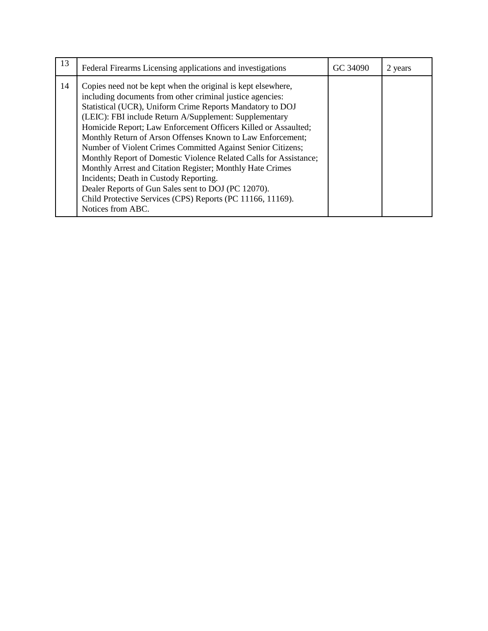| 13 | Federal Firearms Licensing applications and investigations                                                                                                                                                                                                                                                                                                                                                                                                                                                                                                                                                                                                                                                                                                            | GC 34090 | 2 years |
|----|-----------------------------------------------------------------------------------------------------------------------------------------------------------------------------------------------------------------------------------------------------------------------------------------------------------------------------------------------------------------------------------------------------------------------------------------------------------------------------------------------------------------------------------------------------------------------------------------------------------------------------------------------------------------------------------------------------------------------------------------------------------------------|----------|---------|
| 14 | Copies need not be kept when the original is kept elsewhere,<br>including documents from other criminal justice agencies:<br>Statistical (UCR), Uniform Crime Reports Mandatory to DOJ<br>(LEIC): FBI include Return A/Supplement: Supplementary<br>Homicide Report; Law Enforcement Officers Killed or Assaulted;<br>Monthly Return of Arson Offenses Known to Law Enforcement;<br>Number of Violent Crimes Committed Against Senior Citizens;<br>Monthly Report of Domestic Violence Related Calls for Assistance;<br>Monthly Arrest and Citation Register; Monthly Hate Crimes<br>Incidents; Death in Custody Reporting.<br>Dealer Reports of Gun Sales sent to DOJ (PC 12070).<br>Child Protective Services (CPS) Reports (PC 11166, 11169).<br>Notices from ABC. |          |         |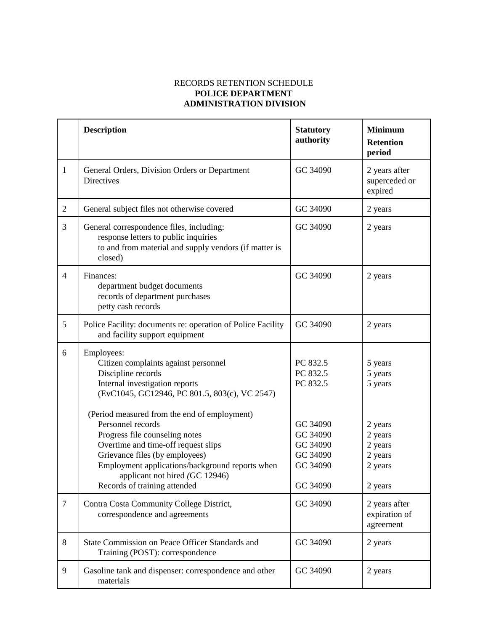#### RECORDS RETENTION SCHEDULE **POLICE DEPARTMENT ADMINISTRATION DIVISION**

|                | <b>Description</b>                                                                                                                                                                                                                                | <b>Statutory</b><br>authority                                        | <b>Minimum</b><br><b>Retention</b><br>period                   |
|----------------|---------------------------------------------------------------------------------------------------------------------------------------------------------------------------------------------------------------------------------------------------|----------------------------------------------------------------------|----------------------------------------------------------------|
| $\mathbf{1}$   | General Orders, Division Orders or Department<br>Directives                                                                                                                                                                                       | GC 34090                                                             | 2 years after<br>superceded or<br>expired                      |
| $\overline{2}$ | General subject files not otherwise covered                                                                                                                                                                                                       | GC 34090                                                             | 2 years                                                        |
| 3              | General correspondence files, including:<br>response letters to public inquiries<br>to and from material and supply vendors (if matter is<br>closed)                                                                                              | GC 34090                                                             | 2 years                                                        |
| $\overline{4}$ | Finances:<br>department budget documents<br>records of department purchases<br>petty cash records                                                                                                                                                 | GC 34090                                                             | 2 years                                                        |
| 5              | Police Facility: documents re: operation of Police Facility<br>and facility support equipment                                                                                                                                                     | GC 34090                                                             | 2 years                                                        |
| 6              | Employees:<br>Citizen complaints against personnel<br>Discipline records<br>Internal investigation reports<br>(EvC1045, GC12946, PC 801.5, 803(c), VC 2547)<br>(Period measured from the end of employment)                                       | PC 832.5<br>PC 832.5<br>PC 832.5                                     | 5 years<br>5 years<br>5 years                                  |
|                | Personnel records<br>Progress file counseling notes<br>Overtime and time-off request slips<br>Grievance files (by employees)<br>Employment applications/background reports when<br>applicant not hired (GC 12946)<br>Records of training attended | GC 34090<br>GC 34090<br>GC 34090<br>GC 34090<br>GC 34090<br>GC 34090 | 2 years<br>2 years<br>2 years<br>2 years<br>2 years<br>2 years |
| $\overline{7}$ | Contra Costa Community College District,<br>correspondence and agreements                                                                                                                                                                         | GC 34090                                                             | 2 years after<br>expiration of<br>agreement                    |
| 8              | State Commission on Peace Officer Standards and<br>Training (POST): correspondence                                                                                                                                                                | GC 34090                                                             | 2 years                                                        |
| 9              | Gasoline tank and dispenser: correspondence and other<br>materials                                                                                                                                                                                | GC 34090                                                             | 2 years                                                        |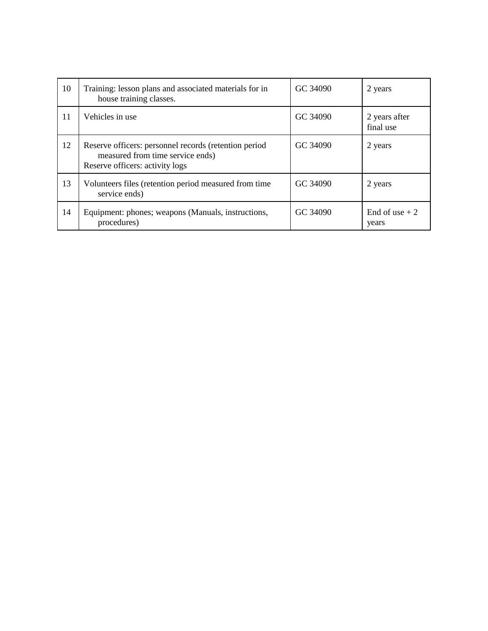| 10 | Training: lesson plans and associated materials for in<br>house training classes.                                            | GC 34090 | 2 years                    |
|----|------------------------------------------------------------------------------------------------------------------------------|----------|----------------------------|
| 11 | Vehicles in use                                                                                                              | GC 34090 | 2 years after<br>final use |
| 12 | Reserve officers: personnel records (retention period<br>measured from time service ends)<br>Reserve officers: activity logs | GC 34090 | 2 years                    |
| 13 | Volunteers files (retention period measured from time<br>service ends)                                                       | GC 34090 | 2 years                    |
| 14 | Equipment: phones; weapons (Manuals, instructions,<br>procedures)                                                            | GC 34090 | End of use $+2$<br>years   |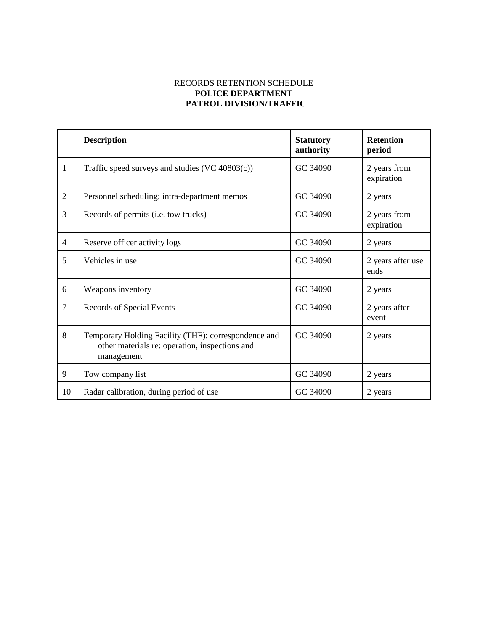#### RECORDS RETENTION SCHEDULE **POLICE DEPARTMENT PATROL DIVISION/TRAFFIC**

|                | <b>Description</b>                                                                                                   | <b>Statutory</b><br>authority | <b>Retention</b><br>period |
|----------------|----------------------------------------------------------------------------------------------------------------------|-------------------------------|----------------------------|
| 1              | Traffic speed surveys and studies (VC 40803(c))                                                                      | GC 34090                      | 2 years from<br>expiration |
| $\overline{2}$ | Personnel scheduling; intra-department memos                                                                         | GC 34090                      | 2 years                    |
| 3              | Records of permits (i.e. tow trucks)                                                                                 | GC 34090                      | 2 years from<br>expiration |
| $\overline{4}$ | Reserve officer activity logs                                                                                        | GC 34090                      | 2 years                    |
| 5              | Vehicles in use                                                                                                      | GC 34090                      | 2 years after use<br>ends  |
| 6              | Weapons inventory                                                                                                    | GC 34090                      | 2 years                    |
| $\overline{7}$ | Records of Special Events                                                                                            | GC 34090                      | 2 years after<br>event     |
| 8              | Temporary Holding Facility (THF): correspondence and<br>other materials re: operation, inspections and<br>management | GC 34090                      | 2 years                    |
| 9              | Tow company list                                                                                                     | GC 34090                      | 2 years                    |
| 10             | Radar calibration, during period of use                                                                              | GC 34090                      | 2 years                    |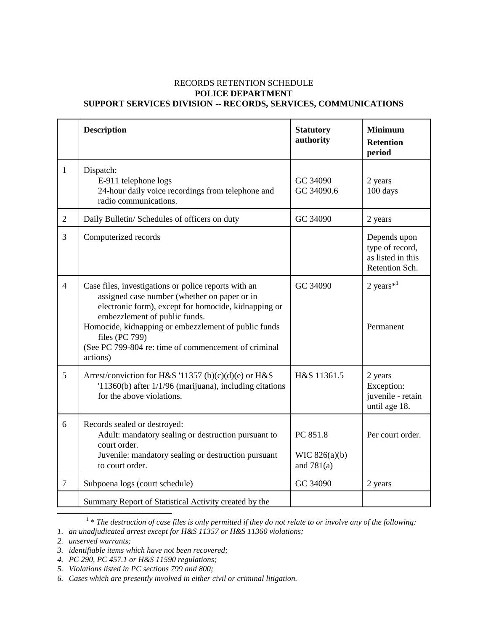#### RECORDS RETENTION SCHEDULE **POLICE DEPARTMENT SUPPORT SERVICES DIVISION -- RECORDS, SERVICES, COMMUNICATIONS**

|                | <b>Description</b>                                                                                                                                                                                                                                                                                                                          | <b>Statutory</b><br>authority               | <b>Minimum</b><br><b>Retention</b><br>period                           |
|----------------|---------------------------------------------------------------------------------------------------------------------------------------------------------------------------------------------------------------------------------------------------------------------------------------------------------------------------------------------|---------------------------------------------|------------------------------------------------------------------------|
| $\mathbf{1}$   | Dispatch:<br>E-911 telephone logs<br>24-hour daily voice recordings from telephone and<br>radio communications.                                                                                                                                                                                                                             | GC 34090<br>GC 34090.6                      | 2 years<br>100 days                                                    |
| $\overline{2}$ | Daily Bulletin/ Schedules of officers on duty                                                                                                                                                                                                                                                                                               | GC 34090                                    | 2 years                                                                |
| $\overline{3}$ | Computerized records                                                                                                                                                                                                                                                                                                                        |                                             | Depends upon<br>type of record,<br>as listed in this<br>Retention Sch. |
| $\overline{4}$ | Case files, investigations or police reports with an<br>assigned case number (whether on paper or in<br>electronic form), except for homocide, kidnapping or<br>embezzlement of public funds.<br>Homocide, kidnapping or embezzlement of public funds<br>files (PC 799)<br>(See PC 799-804 re: time of commencement of criminal<br>actions) | GC 34090                                    | 2 years $*$ <sup>1</sup><br>Permanent                                  |
| 5              | Arrest/conviction for H&S '11357 (b)(c)(d)(e) or H&S<br>$11360(b)$ after $1/1/96$ (marijuana), including citations<br>for the above violations.                                                                                                                                                                                             | H&S 11361.5                                 | 2 years<br>Exception:<br>juvenile - retain<br>until age 18.            |
| 6              | Records sealed or destroyed:<br>Adult: mandatory sealing or destruction pursuant to<br>court order.<br>Juvenile: mandatory sealing or destruction pursuant<br>to court order.                                                                                                                                                               | PC 851.8<br>WIC $826(a)(b)$<br>and $781(a)$ | Per court order.                                                       |
| $\overline{7}$ | Subpoena logs (court schedule)                                                                                                                                                                                                                                                                                                              | GC 34090                                    | 2 years                                                                |
|                | Summary Report of Statistical Activity created by the                                                                                                                                                                                                                                                                                       |                                             |                                                                        |

<sup>&</sup>lt;sup>1</sup> \* The destruction of case files is only permitted if they do not relate to or involve any of the following:

 $\overline{\phantom{a}}$ 

*<sup>1.</sup> an unadjudicated arrest except for H&S 11357 or H&S 11360 violations;*

*<sup>2.</sup> unserved warrants;*

*<sup>3.</sup> identifiable items which have not been recovered;*

*<sup>4.</sup> PC 290, PC 457.1 or H&S 11590 regulations;*

*<sup>5.</sup> Violations listed in PC sections 799 and 800;*

*<sup>6.</sup> Cases which are presently involved in either civil or criminal litigation.*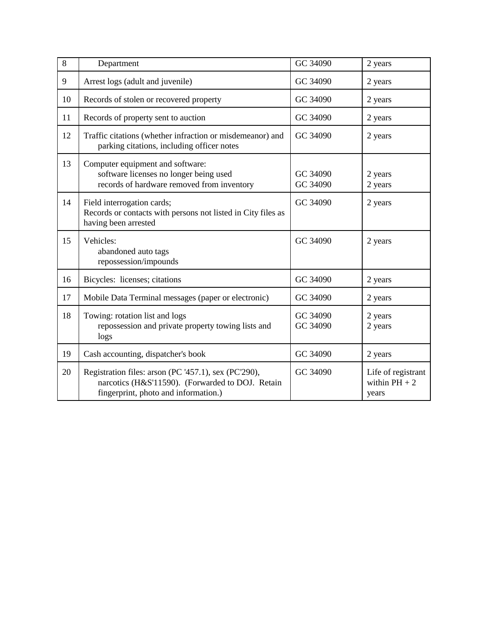| 8  | Department                                                                                                                                       | GC 34090             | 2 years                                        |
|----|--------------------------------------------------------------------------------------------------------------------------------------------------|----------------------|------------------------------------------------|
| 9  | Arrest logs (adult and juvenile)                                                                                                                 | GC 34090             | 2 years                                        |
| 10 | Records of stolen or recovered property                                                                                                          | GC 34090             | 2 years                                        |
| 11 | Records of property sent to auction                                                                                                              | GC 34090             | 2 years                                        |
| 12 | Traffic citations (whether infraction or misdemeanor) and<br>parking citations, including officer notes                                          | GC 34090             | 2 years                                        |
| 13 | Computer equipment and software:<br>software licenses no longer being used<br>records of hardware removed from inventory                         | GC 34090<br>GC 34090 | 2 years<br>2 years                             |
| 14 | Field interrogation cards;<br>Records or contacts with persons not listed in City files as<br>having been arrested                               | GC 34090             | 2 years                                        |
| 15 | Vehicles:<br>abandoned auto tags<br>repossession/impounds                                                                                        | GC 34090             | 2 years                                        |
| 16 | Bicycles: licenses; citations                                                                                                                    | GC 34090             | 2 years                                        |
| 17 | Mobile Data Terminal messages (paper or electronic)                                                                                              | GC 34090             | 2 years                                        |
| 18 | Towing: rotation list and logs<br>repossession and private property towing lists and<br>logs                                                     | GC 34090<br>GC 34090 | 2 years<br>2 years                             |
| 19 | Cash accounting, dispatcher's book                                                                                                               | GC 34090             | 2 years                                        |
| 20 | Registration files: arson (PC '457.1), sex (PC'290),<br>narcotics (H&S'11590). (Forwarded to DOJ. Retain<br>fingerprint, photo and information.) | GC 34090             | Life of registrant<br>within $PH + 2$<br>years |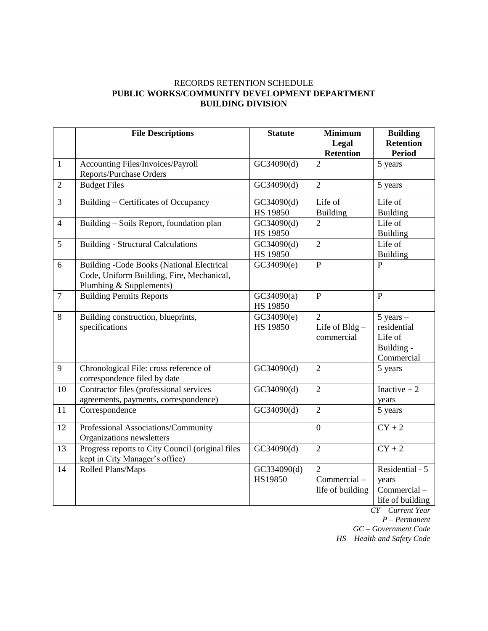#### RECORDS RETENTION SCHEDULE **PUBLIC WORKS/COMMUNITY DEVELOPMENT DEPARTMENT BUILDING DIVISION**

|                | <b>File Descriptions</b>                                                                                                 | <b>Statute</b>         | <b>Minimum</b><br>Legal<br><b>Retention</b>       | <b>Building</b><br><b>Retention</b><br><b>Period</b>                |
|----------------|--------------------------------------------------------------------------------------------------------------------------|------------------------|---------------------------------------------------|---------------------------------------------------------------------|
| $\mathbf{1}$   | Accounting Files/Invoices/Payroll<br>Reports/Purchase Orders                                                             | GC34090(d)             | $\overline{2}$                                    | $\overline{5}$ years                                                |
| $\overline{2}$ | <b>Budget Files</b>                                                                                                      | GC34090(d)             | $\overline{2}$                                    | 5 years                                                             |
| $\overline{3}$ | Building - Certificates of Occupancy                                                                                     | GC34090(d)<br>HS 19850 | Life of<br><b>Building</b>                        | Life of<br><b>Building</b>                                          |
| $\overline{4}$ | Building - Soils Report, foundation plan                                                                                 | GC34090(d)<br>HS 19850 | $\overline{2}$                                    | Life of<br><b>Building</b>                                          |
| 5              | <b>Building - Structural Calculations</b>                                                                                | GC34090(d)<br>HS 19850 | $\overline{2}$                                    | Life of<br><b>Building</b>                                          |
| 6              | <b>Building -Code Books (National Electrical</b><br>Code, Uniform Building, Fire, Mechanical,<br>Plumbing & Supplements) | GC34090(e)             | $\overline{P}$                                    | $\overline{P}$                                                      |
| $\overline{7}$ | <b>Building Permits Reports</b>                                                                                          | GC34090(a)<br>HS 19850 | $\overline{P}$                                    | $\overline{P}$                                                      |
| 8              | Building construction, blueprints,<br>specifications                                                                     | GC34090(e)<br>HS 19850 | $\overline{2}$<br>Life of Bldg-<br>commercial     | $5$ years $-$<br>residential<br>Life of<br>Building -<br>Commercial |
| 9              | Chronological File: cross reference of<br>correspondence filed by date                                                   | GC34090(d)             | $\overline{2}$                                    | 5 years                                                             |
| 10             | Contractor files (professional services<br>agreements, payments, correspondence)                                         | GC34090(d)             | $\overline{2}$                                    | Inactive $+2$<br>years                                              |
| 11             | Correspondence                                                                                                           | GC34090(d)             | $\overline{2}$                                    | 5 years                                                             |
| 12             | Professional Associations/Community<br>Organizations newsletters                                                         |                        | $\overline{0}$                                    | $CY + 2$                                                            |
| 13             | Progress reports to City Council (original files<br>kept in City Manager's office)                                       | GC34090(d)             | $\overline{2}$                                    | $CY + 2$                                                            |
| 14             | Rolled Plans/Maps                                                                                                        | GC334090(d)<br>HS19850 | $\overline{2}$<br>Commercial-<br>life of building | Residential - 5<br>years<br>Commercial-<br>life of building         |

*CY – Current Year P – Permanent*

*GC – Government Code*

*HS – Health and Safety Code*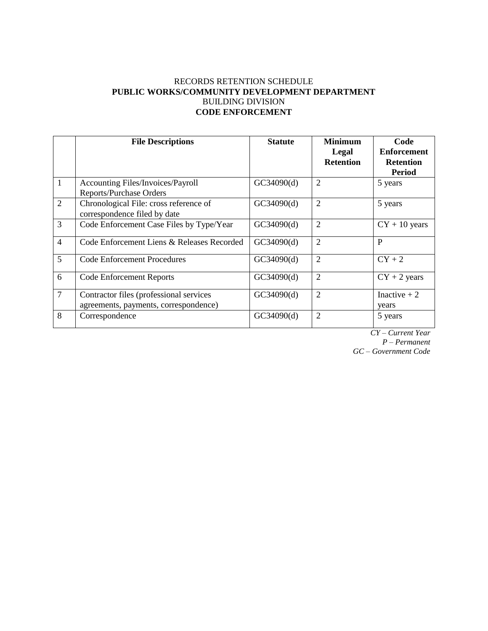#### RECORDS RETENTION SCHEDULE **PUBLIC WORKS/COMMUNITY DEVELOPMENT DEPARTMENT** BUILDING DIVISION **CODE ENFORCEMENT**

|                | <b>File Descriptions</b>                                                         | <b>Statute</b> | <b>Minimum</b><br>Legal<br><b>Retention</b> | Code<br><b>Enforcement</b><br><b>Retention</b><br><b>Period</b> |
|----------------|----------------------------------------------------------------------------------|----------------|---------------------------------------------|-----------------------------------------------------------------|
| $\mathbf{1}$   | Accounting Files/Invoices/Payroll<br><b>Reports/Purchase Orders</b>              | GC34090(d)     | $\overline{2}$                              | 5 years                                                         |
| $\overline{2}$ | Chronological File: cross reference of<br>correspondence filed by date           | GC34090(d)     | $\overline{2}$                              | 5 years                                                         |
| 3              | Code Enforcement Case Files by Type/Year                                         | GC34090(d)     | $\overline{2}$                              | $CY + 10$ years                                                 |
| $\overline{4}$ | Code Enforcement Liens & Releases Recorded                                       | GC34090(d)     | $\overline{2}$                              | P                                                               |
| 5              | <b>Code Enforcement Procedures</b>                                               | GC34090(d)     | $\overline{2}$                              | $CY+2$                                                          |
| 6              | <b>Code Enforcement Reports</b>                                                  | GC34090(d)     | $\overline{2}$                              | $CY + 2$ years                                                  |
| $\overline{7}$ | Contractor files (professional services<br>agreements, payments, correspondence) | GC34090(d)     | $\overline{2}$                              | Inactive $+2$<br>years                                          |
| 8              | Correspondence                                                                   | GC34090(d)     | $\overline{2}$                              | 5 years                                                         |

*CY – Current Year P – Permanent GC – Government Code*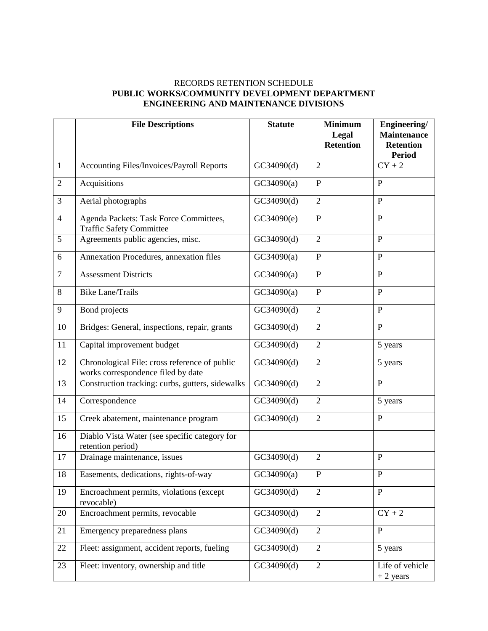#### RECORDS RETENTION SCHEDULE **PUBLIC WORKS/COMMUNITY DEVELOPMENT DEPARTMENT ENGINEERING AND MAINTENANCE DIVISIONS**

|                | <b>File Descriptions</b>                                                            | <b>Statute</b> | <b>Minimum</b><br>Legal<br><b>Retention</b> | Engineering/<br><b>Maintenance</b><br><b>Retention</b><br><b>Period</b> |
|----------------|-------------------------------------------------------------------------------------|----------------|---------------------------------------------|-------------------------------------------------------------------------|
| $\mathbf{1}$   | Accounting Files/Invoices/Payroll Reports                                           | GC34090(d)     | $\overline{2}$                              | $CY + 2$                                                                |
| $\overline{2}$ | Acquisitions                                                                        | GC34090(a)     | $\overline{P}$                              | $\overline{P}$                                                          |
| 3              | Aerial photographs                                                                  | GC34090(d)     | $\overline{2}$                              | $\mathbf{P}$                                                            |
| $\overline{4}$ | Agenda Packets: Task Force Committees,<br><b>Traffic Safety Committee</b>           | GC34090(e)     | $\mathbf P$                                 | $\overline{P}$                                                          |
| 5              | Agreements public agencies, misc.                                                   | GC34090(d)     | $\overline{2}$                              | $\overline{P}$                                                          |
| 6              | Annexation Procedures, annexation files                                             | GC34090(a)     | $\mathbf P$                                 | $\overline{P}$                                                          |
| $\overline{7}$ | <b>Assessment Districts</b>                                                         | GC34090(a)     | $\overline{P}$                              | $\mathbf{P}$                                                            |
| 8              | <b>Bike Lane/Trails</b>                                                             | GC34090(a)     | ${\bf P}$                                   | $\mathbf{P}$                                                            |
| 9              | Bond projects                                                                       | GC34090(d)     | $\overline{2}$                              | $\overline{P}$                                                          |
| 10             | Bridges: General, inspections, repair, grants                                       | GC34090(d)     | $\overline{2}$                              | $\mathbf{P}$                                                            |
| 11             | Capital improvement budget                                                          | GC34090(d)     | $\overline{2}$                              | 5 years                                                                 |
| 12             | Chronological File: cross reference of public<br>works correspondence filed by date | GC34090(d)     | $\overline{2}$                              | 5 years                                                                 |
| 13             | Construction tracking: curbs, gutters, sidewalks                                    | GC34090(d)     | $\overline{2}$                              | $\overline{P}$                                                          |
| 14             | Correspondence                                                                      | GC34090(d)     | $\overline{2}$                              | 5 years                                                                 |
| 15             | Creek abatement, maintenance program                                                | GC34090(d)     | $\overline{2}$                              | $\overline{P}$                                                          |
| 16             | Diablo Vista Water (see specific category for<br>retention period)                  |                |                                             |                                                                         |
| 17             | Drainage maintenance, issues                                                        | GC34090(d)     | $\overline{2}$                              | $\mathbf{P}$                                                            |
| 18             | Easements, dedications, rights-of-way                                               | GC34090(a)     | ${\bf P}$                                   | ${\bf P}$                                                               |
| 19             | Encroachment permits, violations (except<br>revocable)                              | GC34090(d)     | $\overline{2}$                              | P                                                                       |
| 20             | Encroachment permits, revocable                                                     | GC34090(d)     | $\overline{2}$                              | $CY + 2$                                                                |
| 21             | Emergency preparedness plans                                                        | GC34090(d)     | $\overline{2}$                              | $\mathbf{P}$                                                            |
| 22             | Fleet: assignment, accident reports, fueling                                        | GC34090(d)     | $\overline{2}$                              | 5 years                                                                 |
| 23             | Fleet: inventory, ownership and title                                               | GC34090(d)     | $\overline{2}$                              | Life of vehicle<br>$+2$ years                                           |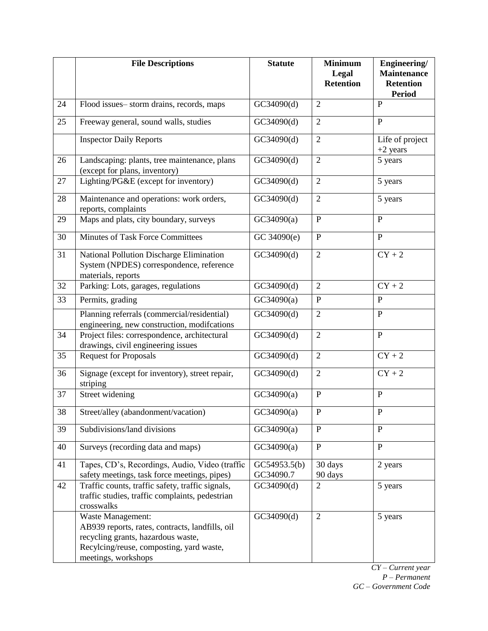|    | <b>File Descriptions</b>                                                                                                                                                      | <b>Statute</b>            | <b>Minimum</b><br>Legal<br><b>Retention</b> | Engineering/<br><b>Maintenance</b><br><b>Retention</b><br><b>Period</b> |
|----|-------------------------------------------------------------------------------------------------------------------------------------------------------------------------------|---------------------------|---------------------------------------------|-------------------------------------------------------------------------|
| 24 | Flood issues-storm drains, records, maps                                                                                                                                      | GC34090(d)                | $\overline{2}$                              | P                                                                       |
| 25 | Freeway general, sound walls, studies                                                                                                                                         | GC34090(d)                | $\overline{2}$                              | $\mathbf{P}$                                                            |
|    | <b>Inspector Daily Reports</b>                                                                                                                                                | GC34090(d)                | $\overline{2}$                              | Life of project<br>$+2$ years                                           |
| 26 | Landscaping: plants, tree maintenance, plans<br>(except for plans, inventory)                                                                                                 | GC34090(d)                | $\overline{2}$                              | 5 years                                                                 |
| 27 | Lighting/PG&E (except for inventory)                                                                                                                                          | GC34090(d)                | $\overline{2}$                              | 5 years                                                                 |
| 28 | Maintenance and operations: work orders,<br>reports, complaints                                                                                                               | GC34090(d)                | $\overline{2}$                              | 5 years                                                                 |
| 29 | Maps and plats, city boundary, surveys                                                                                                                                        | GC34090(a)                | ${\bf P}$                                   | $\mathbf{P}$                                                            |
| 30 | <b>Minutes of Task Force Committees</b>                                                                                                                                       | GC 34090(e)               | ${\bf P}$                                   | $\mathbf{P}$                                                            |
| 31 | National Pollution Discharge Elimination<br>System (NPDES) correspondence, reference<br>materials, reports                                                                    | GC34090(d)                | $\overline{2}$                              | $CY + 2$                                                                |
| 32 | Parking: Lots, garages, regulations                                                                                                                                           | GC34090(d)                | $\mathfrak{2}$                              | $CY + 2$                                                                |
| 33 | Permits, grading                                                                                                                                                              | GC34090(a)                | ${\bf P}$                                   | $\mathbf{P}$                                                            |
|    | Planning referrals (commercial/residential)<br>engineering, new construction, modifcations                                                                                    | GC34090(d)                | $\mathbf{2}$                                | $\mathbf{P}$                                                            |
| 34 | Project files: correspondence, architectural<br>drawings, civil engineering issues                                                                                            | GC34090(d)                | $\overline{2}$                              | P                                                                       |
| 35 | <b>Request for Proposals</b>                                                                                                                                                  | GC34090(d)                | $\overline{2}$                              | $CY + 2$                                                                |
| 36 | Signage (except for inventory), street repair,<br>striping                                                                                                                    | GC34090(d)                | $\overline{2}$                              | $CY + 2$                                                                |
| 37 | Street widening                                                                                                                                                               | GC34090(a)                | $\mathbf{P}$                                | $\mathbf{P}$                                                            |
| 38 | Street/alley (abandonment/vacation)                                                                                                                                           | GC34090(a)                | ${\bf P}$                                   | ${\bf P}$                                                               |
| 39 | Subdivisions/land divisions                                                                                                                                                   | GC34090(a)                | $\mathbf{P}$                                | P                                                                       |
| 40 | Surveys (recording data and maps)                                                                                                                                             | GC34090(a)                | $\mathbf{P}$                                | $\mathbf{P}$                                                            |
| 41 | Tapes, CD's, Recordings, Audio, Video (traffic<br>safety meetings, task force meetings, pipes)                                                                                | GC54953.5(b)<br>GC34090.7 | 30 days<br>90 days                          | 2 years                                                                 |
| 42 | Traffic counts, traffic safety, traffic signals,<br>traffic studies, traffic complaints, pedestrian<br>crosswalks                                                             | GC34090(d)                | $\overline{2}$                              | 5 years                                                                 |
|    | Waste Management:<br>AB939 reports, rates, contracts, landfills, oil<br>recycling grants, hazardous waste,<br>Recylcing/reuse, composting, yard waste,<br>meetings, workshops | GC34090(d)                | $\overline{2}$                              | 5 years                                                                 |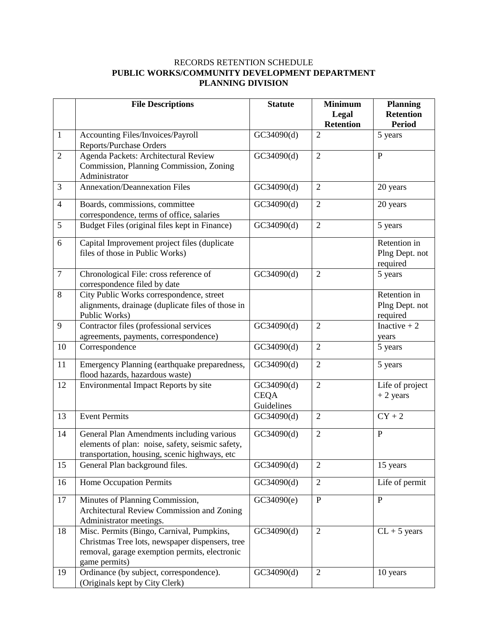#### RECORDS RETENTION SCHEDULE **PUBLIC WORKS/COMMUNITY DEVELOPMENT DEPARTMENT PLANNING DIVISION**

|                | <b>File Descriptions</b>                                                                                                                                       | <b>Statute</b>                          | <b>Minimum</b><br>Legal<br><b>Retention</b> | <b>Planning</b><br><b>Retention</b><br><b>Period</b> |
|----------------|----------------------------------------------------------------------------------------------------------------------------------------------------------------|-----------------------------------------|---------------------------------------------|------------------------------------------------------|
| $\mathbf{1}$   | Accounting Files/Invoices/Payroll<br><b>Reports/Purchase Orders</b>                                                                                            | GC34090(d)                              | $\overline{2}$                              | 5 years                                              |
| $\overline{2}$ | Agenda Packets: Architectural Review<br>Commission, Planning Commission, Zoning<br>Administrator                                                               | GC34090(d)                              | $\overline{2}$                              | $\mathbf{P}$                                         |
| 3              | Annexation/Deannexation Files                                                                                                                                  | GC34090(d)                              | $\overline{2}$                              | 20 years                                             |
| $\overline{4}$ | Boards, commissions, committee<br>correspondence, terms of office, salaries                                                                                    | GC34090(d)                              | $\overline{2}$                              | 20 years                                             |
| 5              | Budget Files (original files kept in Finance)                                                                                                                  | GC34090(d)                              | $\overline{2}$                              | 5 years                                              |
| 6              | Capital Improvement project files (duplicate<br>files of those in Public Works)                                                                                |                                         |                                             | Retention in<br>Plng Dept. not<br>required           |
| $\tau$         | Chronological File: cross reference of<br>correspondence filed by date                                                                                         | GC34090(d)                              | $\overline{2}$                              | 5 years                                              |
| 8              | City Public Works correspondence, street<br>alignments, drainage (duplicate files of those in<br>Public Works)                                                 |                                         |                                             | Retention in<br>Plng Dept. not<br>required           |
| 9              | Contractor files (professional services<br>agreements, payments, correspondence)                                                                               | GC34090(d)                              | $\overline{2}$                              | Inactive $+2$<br>years                               |
| 10             | Correspondence                                                                                                                                                 | GC34090(d)                              | $\overline{2}$                              | 5 years                                              |
| 11             | Emergency Planning (earthquake preparedness,<br>flood hazards, hazardous waste)                                                                                | GC34090(d)                              | $\overline{2}$                              | 5 years                                              |
| 12             | Environmental Impact Reports by site                                                                                                                           | GC34090(d)<br><b>CEQA</b><br>Guidelines | $\overline{2}$                              | Life of project<br>$+2$ years                        |
| 13             | <b>Event Permits</b>                                                                                                                                           | GC34090(d)                              | $\mathbf{2}$                                | $CY + 2$                                             |
| 14             | General Plan Amendments including various<br>elements of plan: noise, safety, seismic safety,<br>transportation, housing, scenic highways, etc                 | GC34090(d)                              | $\overline{2}$                              | $\mathbf{P}$                                         |
| 15             | General Plan background files.                                                                                                                                 | GC34090(d)                              | $\overline{2}$                              | 15 years                                             |
| 16             | <b>Home Occupation Permits</b>                                                                                                                                 | GC34090(d)                              | $\overline{2}$                              | Life of permit                                       |
| 17             | Minutes of Planning Commission,<br>Architectural Review Commission and Zoning<br>Administrator meetings.                                                       | GC34090(e)                              | $\mathbf{P}$                                | $\overline{P}$                                       |
| 18             | Misc. Permits (Bingo, Carnival, Pumpkins,<br>Christmas Tree lots, newspaper dispensers, tree<br>removal, garage exemption permits, electronic<br>game permits) | GC34090(d)                              | $\overline{2}$                              | $CL + 5$ years                                       |
| 19             | Ordinance (by subject, correspondence).<br>(Originals kept by City Clerk)                                                                                      | GC34090(d)                              | $\overline{2}$                              | 10 years                                             |